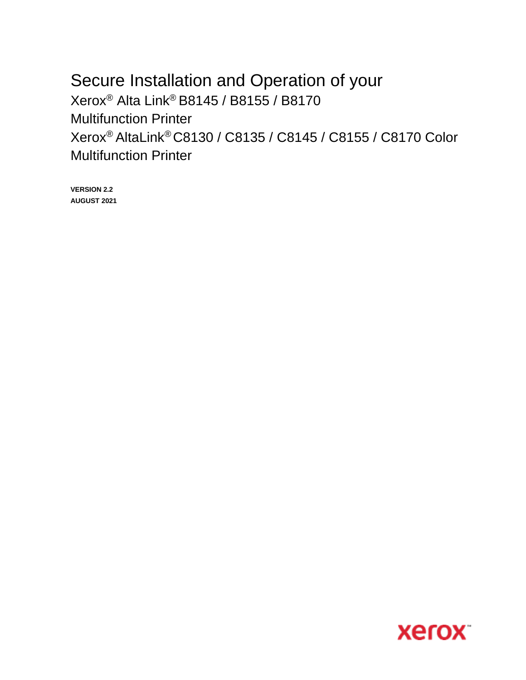# Secure Installation and Operation of your Xerox® Alta Link® B8145 / B8155 / B8170 Multifunction Printer Xerox® AltaLink® C8130 / C8135 / C8145 / C8155 / C8170 Color Multifunction Printer

**VERSION 2.2 AUGUST 2021**

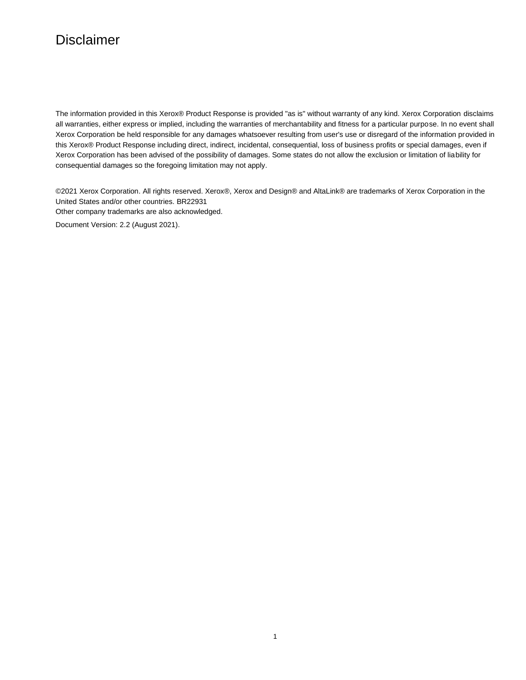# Disclaimer

The information provided in this Xerox® Product Response is provided "as is" without warranty of any kind. Xerox Corporation disclaims all warranties, either express or implied, including the warranties of merchantability and fitness for a particular purpose. In no event shall Xerox Corporation be held responsible for any damages whatsoever resulting from user's use or disregard of the information provided in this Xerox® Product Response including direct, indirect, incidental, consequential, loss of business profits or special damages, even if Xerox Corporation has been advised of the possibility of damages. Some states do not allow the exclusion or limitation of liability for consequential damages so the foregoing limitation may not apply.

©2021 Xerox Corporation. All rights reserved. Xerox®, Xerox and Design® and AltaLink® are trademarks of Xerox Corporation in the United States and/or other countries. BR22931 Other company trademarks are also acknowledged.

Document Version: 2.2 (August 2021).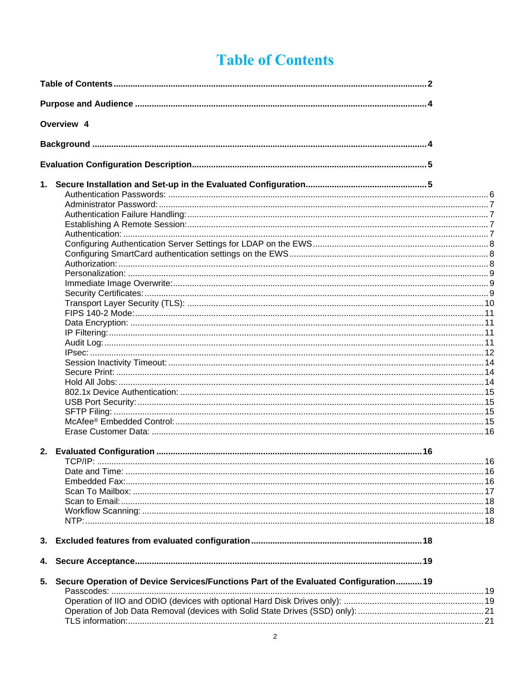# **Table of Contents**

<span id="page-2-0"></span>

|    | Overview 4                                                                           |  |  |  |
|----|--------------------------------------------------------------------------------------|--|--|--|
|    |                                                                                      |  |  |  |
|    |                                                                                      |  |  |  |
|    |                                                                                      |  |  |  |
|    |                                                                                      |  |  |  |
|    |                                                                                      |  |  |  |
|    |                                                                                      |  |  |  |
|    |                                                                                      |  |  |  |
|    |                                                                                      |  |  |  |
|    |                                                                                      |  |  |  |
|    |                                                                                      |  |  |  |
|    |                                                                                      |  |  |  |
|    |                                                                                      |  |  |  |
|    |                                                                                      |  |  |  |
|    |                                                                                      |  |  |  |
|    |                                                                                      |  |  |  |
|    |                                                                                      |  |  |  |
|    |                                                                                      |  |  |  |
|    |                                                                                      |  |  |  |
|    |                                                                                      |  |  |  |
|    |                                                                                      |  |  |  |
|    |                                                                                      |  |  |  |
|    |                                                                                      |  |  |  |
|    |                                                                                      |  |  |  |
|    |                                                                                      |  |  |  |
|    |                                                                                      |  |  |  |
|    |                                                                                      |  |  |  |
|    |                                                                                      |  |  |  |
|    |                                                                                      |  |  |  |
|    |                                                                                      |  |  |  |
|    |                                                                                      |  |  |  |
|    |                                                                                      |  |  |  |
|    |                                                                                      |  |  |  |
|    |                                                                                      |  |  |  |
|    |                                                                                      |  |  |  |
|    |                                                                                      |  |  |  |
|    |                                                                                      |  |  |  |
|    |                                                                                      |  |  |  |
|    |                                                                                      |  |  |  |
|    |                                                                                      |  |  |  |
| 3. |                                                                                      |  |  |  |
| 4. |                                                                                      |  |  |  |
| 5. | Secure Operation of Device Services/Functions Part of the Evaluated Configuration 19 |  |  |  |
|    |                                                                                      |  |  |  |
|    |                                                                                      |  |  |  |
|    |                                                                                      |  |  |  |
|    |                                                                                      |  |  |  |
|    |                                                                                      |  |  |  |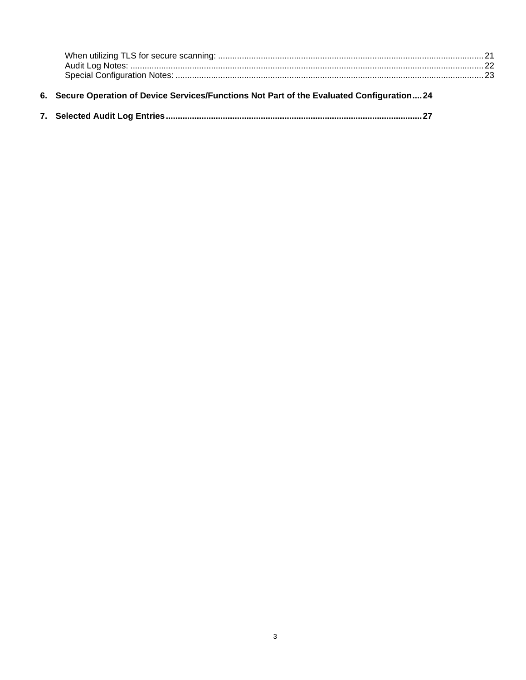<span id="page-3-0"></span>

| 6. Secure Operation of Device Services/Functions Not Part of the Evaluated Configuration24 |  |
|--------------------------------------------------------------------------------------------|--|
|                                                                                            |  |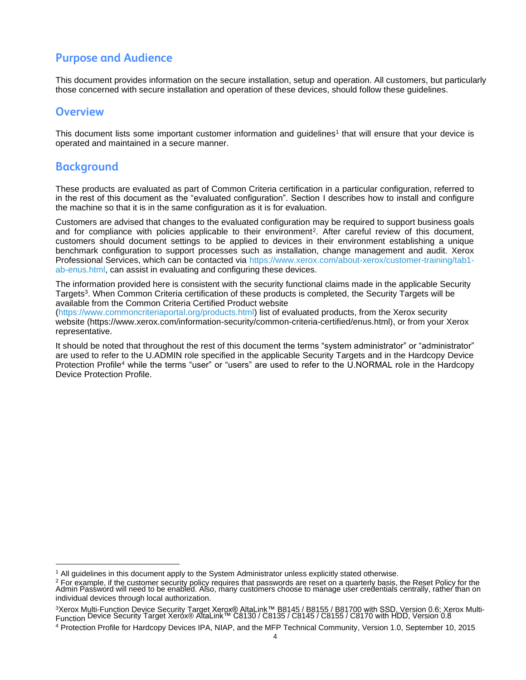# **Purpose and Audience**

This document provides information on the secure installation, setup and operation. All customers, but particularly those concerned with secure installation and operation of these devices, should follow these guidelines.

### <span id="page-4-0"></span>**Overview**

This document lists some important customer information and guidelines<sup>1</sup> that will ensure that your device is operated and maintained in a secure manner.

### <span id="page-4-1"></span>**Background**

These products are evaluated as part of Common Criteria certification in a particular configuration, referred to in the rest of this document as the "evaluated configuration". Section I describes how to install and configure the machine so that it is in the same configuration as it is for evaluation.

Customers are advised that changes to the evaluated configuration may be required to support business goals and for compliance with policies applicable to their environment<sup>2</sup>. After careful review of this document, customers should document settings to be applied to devices in their environment establishing a unique benchmark configuration to support processes such as installation, change management and audit. Xerox Professional Services, which can be contacted via [https://www.xerox.com/about-xerox/customer-training/tab1](https://www.xerox.com/about-xerox/customer-training/tab1-ab-enus.html) [ab-enus.html,](https://www.xerox.com/about-xerox/customer-training/tab1-ab-enus.html) can assist in evaluating and configuring these devices.

The information provided here is consistent with the security functional claims made in the applicable Security Targets<sup>3</sup>. When Common Criteria certification of these products is completed, the Security Targets will be available from the Common Criteria Certified Product website

[\(https://www.commoncriteriaportal.org/products.html\)](https://www.commoncriteriaportal.org/products.html) list of evaluated products, from the Xerox security website (https://www.xerox.com/information-security/common-criteria-certified/enus.html), or from your Xerox representative.

It should be noted that throughout the rest of this document the terms "system administrator" or "administrator" are used to refer to the U.ADMIN role specified in the applicable Security Targets and in the Hardcopy Device Protection Profile<sup>4</sup> while the terms "user" or "users" are used to refer to the U.NORMAL role in the Hardcopy Device Protection Profile.

<sup>&</sup>lt;sup>1</sup> All guidelines in this document apply to the System Administrator unless explicitly stated otherwise.

<sup>&</sup>lt;sup>2</sup> For example, if the customer security policy requires that passwords are reset on a quarterly basis, the Reset Policy for the<br>Admin Password will need to be enabled. Also, many customers choose to manage user credentia individual devices through local authorization.

<sup>3</sup>Xerox Multi-Function Device Security Target Xerox® AltaLink™ B8145 / B8155 / B81700 with SSD, Version 0.6; Xerox Multi-Function Device Security Target Xerox® AltaLink™ C8130 / C8135 / C8145 / C8155 / C8170 with HDD, Version 0.8

<sup>4</sup> Protection Profile for Hardcopy Devices IPA, NIAP, and the MFP Technical Community, Version 1.0, September 10, 2015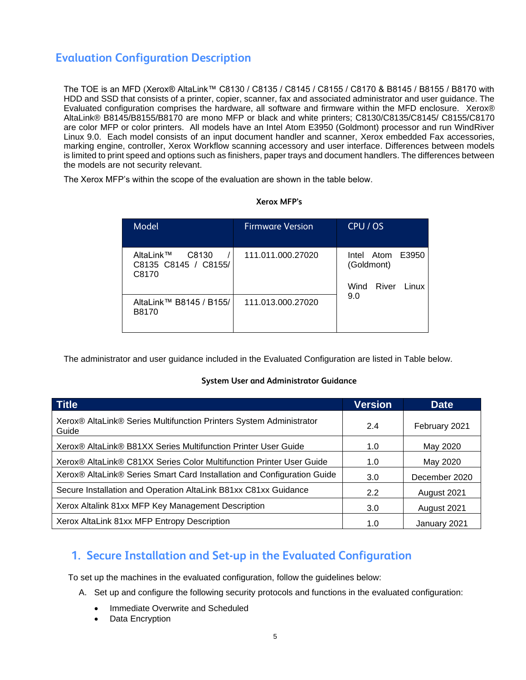# <span id="page-5-0"></span>**Evaluation Configuration Description**

The TOE is an MFD (Xerox® AltaLink™ C8130 / C8135 / C8145 / C8155 / C8170 & B8145 / B8155 / B8170 with HDD and SSD that consists of a printer, copier, scanner, fax and associated administrator and user guidance. The Evaluated configuration comprises the hardware, all software and firmware within the MFD enclosure. Xerox® AltaLink® B8145/B8155/B8170 are mono MFP or black and white printers; C8130/C8135/C8145/ C8155/C8170 are color MFP or color printers. All models have an Intel Atom E3950 (Goldmont) processor and run WindRiver Linux 9.0. Each model consists of an input document handler and scanner, Xerox embedded Fax accessories, marking engine, controller, Xerox Workflow scanning accessory and user interface. Differences between models is limited to print speed and options such as finishers, paper trays and document handlers. The differences between the models are not security relevant.

The Xerox MFP's within the scope of the evaluation are shown in the table below.

#### **Xerox MFP's**

| Model                                               | <b>Firmware Version</b> | CPU / OS                                              |
|-----------------------------------------------------|-------------------------|-------------------------------------------------------|
| AltaLink™<br>C8130<br>C8135 C8145 / C8155/<br>C8170 | 111.011.000.27020       | Intel Atom E3950<br>(Goldmont)<br>River Linux<br>Wind |
| AltaLink™ B8145 / B155/<br>B8170                    | 111.013.000.27020       | 9.0                                                   |

The administrator and user guidance included in the Evaluated Configuration are listed in Table below.

#### **System User and Administrator Guidance**

| <b>Title</b>                                                                                 | <b>Version</b> | <b>Date</b>   |
|----------------------------------------------------------------------------------------------|----------------|---------------|
| Xerox® AltaLink® Series Multifunction Printers System Administrator<br>Guide                 | 2.4            | February 2021 |
| Xerox <sup>®</sup> AltaLink <sup>®</sup> B81XX Series Multifunction Printer User Guide       | 1.0            | May 2020      |
| Xerox <sup>®</sup> AltaLink <sup>®</sup> C81XX Series Color Multifunction Printer User Guide | 1.0            | May 2020      |
| Xerox® AltaLink® Series Smart Card Installation and Configuration Guide                      | 3.0            | December 2020 |
| Secure Installation and Operation AltaLink B81xx C81xx Guidance                              | 2.2            | August 2021   |
| Xerox Altalink 81xx MFP Key Management Description                                           | 3.0            | August 2021   |
| Xerox AltaLink 81xx MFP Entropy Description                                                  | 1.0            | January 2021  |

# <span id="page-5-1"></span>**1. Secure Installation and Set-up in the Evaluated Configuration**

To set up the machines in the evaluated configuration, follow the guidelines below:

- A. Set up and configure the following security protocols and functions in the evaluated configuration:
	- Immediate Overwrite and Scheduled
	- Data Encryption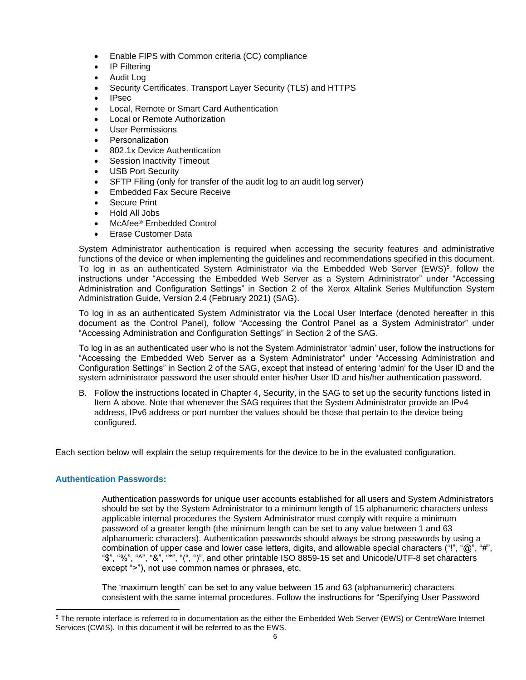- Enable FIPS with Common criteria (CC) compliance
- IP Filtering
- Audit Log
- Security Certificates, Transport Layer Security (TLS) and HTTPS
- IPsec
- Local, Remote or Smart Card Authentication
- Local or Remote Authorization
- User Permissions
- **Personalization**
- 802.1x Device Authentication
- Session Inactivity Timeout
- USB Port Security
- SFTP Filing (only for transfer of the audit log to an audit log server)
- Embedded Fax Secure Receive
- Secure Print
- Hold All Jobs
- McAfee® Embedded Control
- Erase Customer Data

System Administrator authentication is required when accessing the security features and administrative functions of the device or when implementing the guidelines and recommendations specified in this document. To log in as an authenticated System Administrator via the Embedded Web Server (EWS)<sup>5</sup>, follow the instructions under "Accessing the Embedded Web Server as a System Administrator" under "Accessing Administration and Configuration Settings" in Section 2 of the Xerox Altalink Series Multifunction System Administration Guide, Version 2.4 (February 2021) (SAG).

To log in as an authenticated System Administrator via the Local User Interface (denoted hereafter in this document as the Control Panel), follow "Accessing the Control Panel as a System Administrator" under "Accessing Administration and Configuration Settings" in Section 2 of the SAG.

To log in as an authenticated user who is not the System Administrator 'admin' user, follow the instructions for "Accessing the Embedded Web Server as a System Administrator" under "Accessing Administration and Configuration Settings" in Section 2 of the SAG, except that instead of entering 'admin' for the User ID and the system administrator password the user should enter his/her User ID and his/her authentication password.

B. Follow the instructions located in Chapter 4, Security, in the SAG to set up the security functions listed in Item A above. Note that whenever the SAG requires that the System Administrator provide an IPv4 address, IPv6 address or port number the values should be those that pertain to the device being configured.

Each section below will explain the setup requirements for the device to be in the evaluated configuration.

#### <span id="page-6-0"></span>**Authentication Passwords:**

Authentication passwords for unique user accounts established for all users and System Administrators should be set by the System Administrator to a minimum length of 15 alphanumeric characters unless applicable internal procedures the System Administrator must comply with require a minimum password of a greater length (the minimum length can be set to any value between 1 and 63 alphanumeric characters). Authentication passwords should always be strong passwords by using a combination of upper case and lower case letters, digits, and allowable special characters ("!", "@", "#", "\$", "%", "^", "&", "\*", "(", ")", and other printable ISO 8859-15 set and Unicode/UTF-8 set characters except ">"), not use common names or phrases, etc.

The 'maximum length' can be set to any value between 15 and 63 (alphanumeric) characters consistent with the same internal procedures. Follow the instructions for "Specifying User Password

<sup>5</sup> The remote interface is referred to in documentation as the either the Embedded Web Server (EWS) or CentreWare Internet Services (CWIS). In this document it will be referred to as the EWS.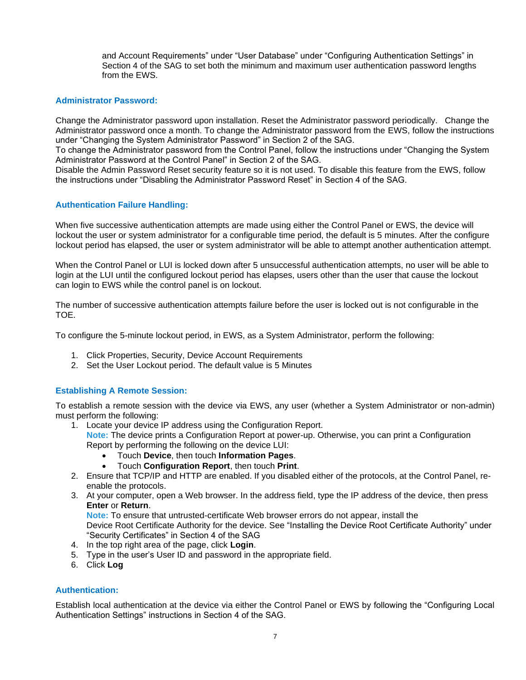and Account Requirements" under "User Database" under "Configuring Authentication Settings" in Section 4 of the SAG to set both the minimum and maximum user authentication password lengths from the EWS.

#### <span id="page-7-0"></span>**Administrator Password:**

Change the Administrator password upon installation. Reset the Administrator password periodically. Change the Administrator password once a month. To change the Administrator password from the EWS, follow the instructions under "Changing the System Administrator Password" in Section 2 of the SAG.

To change the Administrator password from the Control Panel, follow the instructions under "Changing the System Administrator Password at the Control Panel" in Section 2 of the SAG.

Disable the Admin Password Reset security feature so it is not used. To disable this feature from the EWS, follow the instructions under "Disabling the Administrator Password Reset" in Section 4 of the SAG.

#### <span id="page-7-1"></span>**Authentication Failure Handling:**

When five successive authentication attempts are made using either the Control Panel or EWS, the device will lockout the user or system administrator for a configurable time period, the default is 5 minutes. After the configure lockout period has elapsed, the user or system administrator will be able to attempt another authentication attempt.

When the Control Panel or LUI is locked down after 5 unsuccessful authentication attempts, no user will be able to login at the LUI until the configured lockout period has elapses, users other than the user that cause the lockout can login to EWS while the control panel is on lockout.

The number of successive authentication attempts failure before the user is locked out is not configurable in the TOE.

To configure the 5-minute lockout period, in EWS, as a System Administrator, perform the following:

- 1. Click Properties, Security, Device Account Requirements
- 2. Set the User Lockout period. The default value is 5 Minutes

#### <span id="page-7-2"></span>**Establishing A Remote Session:**

To establish a remote session with the device via EWS, any user (whether a System Administrator or non-admin) must perform the following:

- 1. Locate your device IP address using the Configuration Report.
	- **Note:** The device prints a Configuration Report at power-up. Otherwise, you can print a Configuration Report by performing the following on the device LUI:
		- Touch **Device**, then touch **Information Pages**.
		- Touch **Configuration Report**, then touch **Print**.
- 2. Ensure that TCP/IP and HTTP are enabled. If you disabled either of the protocols, at the Control Panel, reenable the protocols.
- 3. At your computer, open a Web browser. In the address field, type the IP address of the device, then press **Enter** or **Return**.

**Note:** To ensure that untrusted-certificate Web browser errors do not appear, install the Device Root Certificate Authority for the device. See "Installing the Device Root Certificate Authority" under

"Security Certificates" in Section 4 of the SAG

- 4. In the top right area of the page, click **Login**.
- 5. Type in the user's User ID and password in the appropriate field.
- 6. Click **Log**

#### <span id="page-7-3"></span>**Authentication:**

Establish local authentication at the device via either the Control Panel or EWS by following the "Configuring Local Authentication Settings" instructions in Section 4 of the SAG.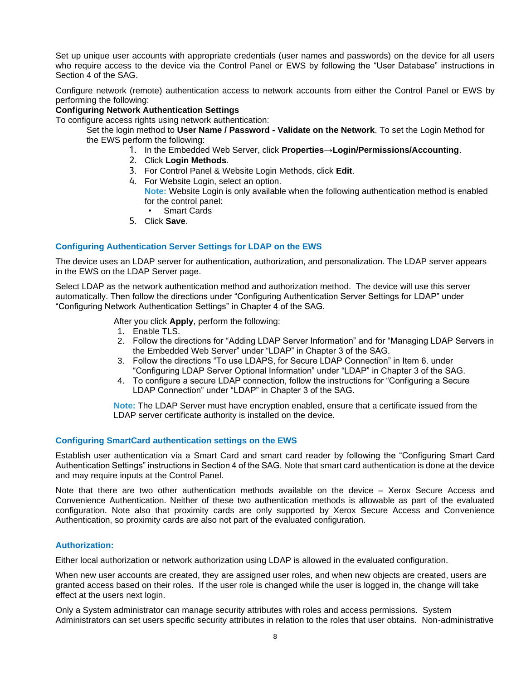Set up unique user accounts with appropriate credentials (user names and passwords) on the device for all users who require access to the device via the Control Panel or EWS by following the "User Database" instructions in Section 4 of the SAG.

Configure network (remote) authentication access to network accounts from either the Control Panel or EWS by performing the following:

#### **Configuring Network Authentication Settings**

To configure access rights using network authentication:

Set the login method to **User Name / Password - Validate on the Network**. To set the Login Method for the EWS perform the following:

- 1. In the Embedded Web Server, click **Properties**→**Login/Permissions/Accounting**.
- 2. Click **Login Methods**.
- 3. For Control Panel & Website Login Methods, click **Edit**.
- 4. For Website Login, select an option. **Note:** Website Login is only available when the following authentication method is enabled for the control panel: • Smart Cards
- 5. Click **Save**.

#### <span id="page-8-0"></span>**Configuring Authentication Server Settings for LDAP on the EWS**

The device uses an LDAP server for authentication, authorization, and personalization. The LDAP server appears in the EWS on the LDAP Server page.

Select LDAP as the network authentication method and authorization method. The device will use this server automatically. Then follow the directions under "Configuring Authentication Server Settings for LDAP" under "Configuring Network Authentication Settings" in Chapter 4 of the SAG.

After you click **Apply**, perform the following:

- 1. Enable TLS.
- 2. Follow the directions for "Adding LDAP Server Information" and for "Managing LDAP Servers in the Embedded Web Server" under "LDAP" in Chapter 3 of the SAG.
- 3. Follow the directions "To use LDAPS, for Secure LDAP Connection" in Item 6. under "Configuring LDAP Server Optional Information" under "LDAP" in Chapter 3 of the SAG.
- 4. To configure a secure LDAP connection, follow the instructions for "Configuring a Secure LDAP Connection" under "LDAP" in Chapter 3 of the SAG.

**Note:** The LDAP Server must have encryption enabled, ensure that a certificate issued from the LDAP server certificate authority is installed on the device.

#### <span id="page-8-1"></span>**Configuring SmartCard authentication settings on the EWS**

Establish user authentication via a Smart Card and smart card reader by following the "Configuring Smart Card Authentication Settings" instructions in Section 4 of the SAG. Note that smart card authentication is done at the device and may require inputs at the Control Panel.

Note that there are two other authentication methods available on the device – Xerox Secure Access and Convenience Authentication. Neither of these two authentication methods is allowable as part of the evaluated configuration. Note also that proximity cards are only supported by Xerox Secure Access and Convenience Authentication, so proximity cards are also not part of the evaluated configuration.

#### <span id="page-8-2"></span>**Authorization:**

Either local authorization or network authorization using LDAP is allowed in the evaluated configuration.

When new user accounts are created, they are assigned user roles, and when new objects are created, users are granted access based on their roles. If the user role is changed while the user is logged in, the change will take effect at the users next login.

Only a System administrator can manage security attributes with roles and access permissions. System Administrators can set users specific security attributes in relation to the roles that user obtains. Non-administrative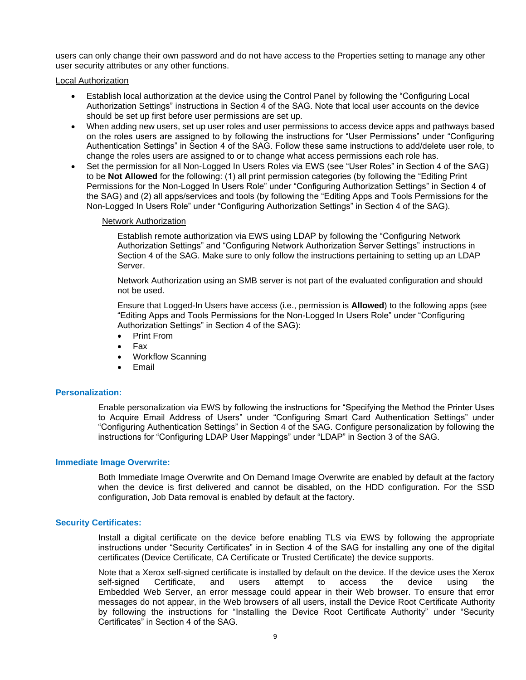users can only change their own password and do not have access to the Properties setting to manage any other user security attributes or any other functions.

Local Authorization

- Establish local authorization at the device using the Control Panel by following the "Configuring Local Authorization Settings" instructions in Section 4 of the SAG. Note that local user accounts on the device should be set up first before user permissions are set up.
- When adding new users, set up user roles and user permissions to access device apps and pathways based on the roles users are assigned to by following the instructions for "User Permissions" under "Configuring Authentication Settings" in Section 4 of the SAG. Follow these same instructions to add/delete user role, to change the roles users are assigned to or to change what access permissions each role has.
- Set the permission for all Non-Logged In Users Roles via EWS (see "User Roles" in Section 4 of the SAG) to be **Not Allowed** for the following: (1) all print permission categories (by following the "Editing Print Permissions for the Non-Logged In Users Role" under "Configuring Authorization Settings" in Section 4 of the SAG) and (2) all apps/services and tools (by following the "Editing Apps and Tools Permissions for the Non-Logged In Users Role" under "Configuring Authorization Settings" in Section 4 of the SAG).

#### Network Authorization

Establish remote authorization via EWS using LDAP by following the "Configuring Network Authorization Settings" and "Configuring Network Authorization Server Settings" instructions in Section 4 of the SAG. Make sure to only follow the instructions pertaining to setting up an LDAP Server.

Network Authorization using an SMB server is not part of the evaluated configuration and should not be used.

Ensure that Logged-In Users have access (i.e., permission is **Allowed**) to the following apps (see "Editing Apps and Tools Permissions for the Non-Logged In Users Role" under "Configuring Authorization Settings" in Section 4 of the SAG):

- Print From
- Fax
- Workflow Scanning
- **Email**

#### <span id="page-9-0"></span>**Personalization:**

Enable personalization via EWS by following the instructions for "Specifying the Method the Printer Uses to Acquire Email Address of Users" under "Configuring Smart Card Authentication Settings" under "Configuring Authentication Settings" in Section 4 of the SAG. Configure personalization by following the instructions for "Configuring LDAP User Mappings" under "LDAP" in Section 3 of the SAG.

#### <span id="page-9-1"></span>**Immediate Image Overwrite:**

Both Immediate Image Overwrite and On Demand Image Overwrite are enabled by default at the factory when the device is first delivered and cannot be disabled, on the HDD configuration. For the SSD configuration, Job Data removal is enabled by default at the factory.

#### <span id="page-9-2"></span>**Security Certificates:**

Install a digital certificate on the device before enabling TLS via EWS by following the appropriate instructions under "Security Certificates" in in Section 4 of the SAG for installing any one of the digital certificates (Device Certificate, CA Certificate or Trusted Certificate) the device supports.

Note that a Xerox self-signed certificate is installed by default on the device. If the device uses the Xerox self-signed Certificate, and users attempt to access the device using the Embedded Web Server, an error message could appear in their Web browser. To ensure that error messages do not appear, in the Web browsers of all users, install the Device Root Certificate Authority by following the instructions for "Installing the Device Root Certificate Authority" under "Security Certificates" in Section 4 of the SAG.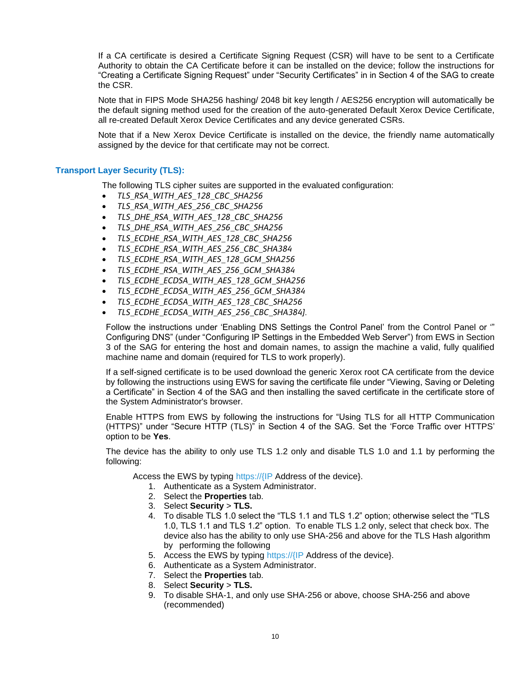If a CA certificate is desired a Certificate Signing Request (CSR) will have to be sent to a Certificate Authority to obtain the CA Certificate before it can be installed on the device; follow the instructions for "Creating a Certificate Signing Request" under "Security Certificates" in in Section 4 of the SAG to create the CSR.

Note that in FIPS Mode SHA256 hashing/ 2048 bit key length / AES256 encryption will automatically be the default signing method used for the creation of the auto-generated Default Xerox Device Certificate, all re-created Default Xerox Device Certificates and any device generated CSRs.

Note that if a New Xerox Device Certificate is installed on the device, the friendly name automatically assigned by the device for that certificate may not be correct.

#### <span id="page-10-0"></span>**Transport Layer Security (TLS):**

The following TLS cipher suites are supported in the evaluated configuration:

- *TLS\_RSA\_WITH\_AES\_128\_CBC\_SHA256*
- *TLS\_RSA\_WITH\_AES\_256\_CBC\_SHA256*
- *TLS\_DHE\_RSA\_WITH\_AES\_128\_CBC\_SHA256*
- *TLS\_DHE\_RSA\_WITH\_AES\_256\_CBC\_SHA256*
- *TLS\_ECDHE\_RSA\_WITH\_AES\_128\_CBC\_SHA256*
- *TLS\_ECDHE\_RSA\_WITH\_AES\_256\_CBC\_SHA384*
- *TLS\_ECDHE\_RSA\_WITH\_AES\_128\_GCM\_SHA256*
- *TLS\_ECDHE\_RSA\_WITH\_AES\_256\_GCM\_SHA384*
- *TLS\_ECDHE\_ECDSA\_WITH\_AES\_128\_GCM\_SHA256*
- *TLS\_ECDHE\_ECDSA\_WITH\_AES\_256\_GCM\_SHA384*
- *TLS\_ECDHE\_ECDSA\_WITH\_AES\_128\_CBC\_SHA256*
- *TLS\_ECDHE\_ECDSA\_WITH\_AES\_256\_CBC\_SHA384].*

Follow the instructions under 'Enabling DNS Settings the Control Panel' from the Control Panel or '" Configuring DNS" (under "Configuring IP Settings in the Embedded Web Server") from EWS in Section 3 of the SAG for entering the host and domain names, to assign the machine a valid, fully qualified machine name and domain (required for TLS to work properly).

If a self-signed certificate is to be used download the generic Xerox root CA certificate from the device by following the instructions using EWS for saving the certificate file under "Viewing, Saving or Deleting a Certificate" in Section 4 of the SAG and then installing the saved certificate in the certificate store of the System Administrator's browser.

Enable HTTPS from EWS by following the instructions for "Using TLS for all HTTP Communication (HTTPS)" under "Secure HTTP (TLS)" in Section 4 of the SAG. Set the 'Force Traffic over HTTPS' option to be **Yes**.

The device has the ability to only use TLS 1.2 only and disable TLS 1.0 and 1.1 by performing the following:

Access the EWS by typing https://{IP Address of the device}.

- 1. Authenticate as a System Administrator.
- 2. Select the **Properties** tab.
- 3. Select **Security** > **TLS.**
- 4. To disable TLS 1.0 select the "TLS 1.1 and TLS 1.2" option; otherwise select the "TLS 1.0, TLS 1.1 and TLS 1.2" option. To enable TLS 1.2 only, select that check box. The device also has the ability to only use SHA-256 and above for the TLS Hash algorithm by performing the following
- 5. Access the EWS by typing https://{IP Address of the device}.
- 6. Authenticate as a System Administrator.
- 7. Select the **Properties** tab.
- 8. Select **Security** > **TLS.**
- 9. To disable SHA-1, and only use SHA-256 or above, choose SHA-256 and above (recommended)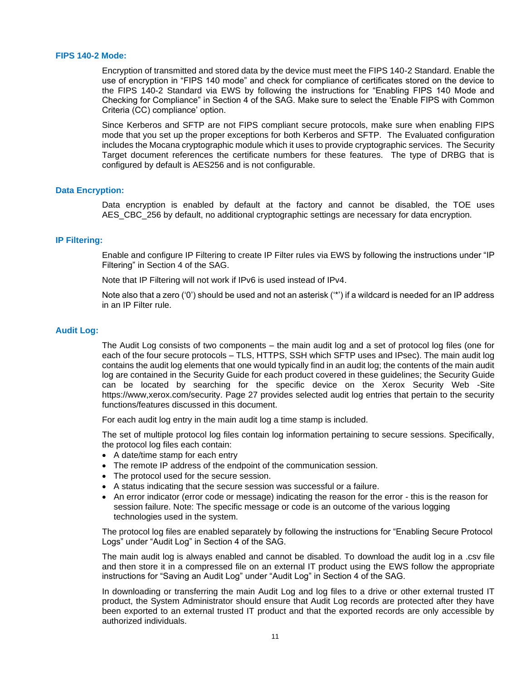#### <span id="page-11-0"></span>**FIPS 140-2 Mode:**

Encryption of transmitted and stored data by the device must meet the FIPS 140-2 Standard. Enable the use of encryption in "FIPS 140 mode" and check for compliance of certificates stored on the device to the FIPS 140-2 Standard via EWS by following the instructions for "Enabling FIPS 140 Mode and Checking for Compliance" in Section 4 of the SAG. Make sure to select the 'Enable FIPS with Common Criteria (CC) compliance' option.

Since Kerberos and SFTP are not FIPS compliant secure protocols, make sure when enabling FIPS mode that you set up the proper exceptions for both Kerberos and SFTP. The Evaluated configuration includes the Mocana cryptographic module which it uses to provide cryptographic services. The Security Target document references the certificate numbers for these features. The type of DRBG that is configured by default is AES256 and is not configurable.

#### <span id="page-11-1"></span>**Data Encryption:**

Data encryption is enabled by default at the factory and cannot be disabled, the TOE uses AES CBC 256 by default, no additional cryptographic settings are necessary for data encryption.

#### <span id="page-11-2"></span>**IP Filtering:**

Enable and configure IP Filtering to create IP Filter rules via EWS by following the instructions under "IP Filtering" in Section 4 of the SAG.

Note that IP Filtering will not work if IPv6 is used instead of IPv4.

Note also that a zero ('0') should be used and not an asterisk ('\*') if a wildcard is needed for an IP address in an IP Filter rule.

#### <span id="page-11-3"></span>**Audit Log:**

The Audit Log consists of two components – the main audit log and a set of protocol log files (one for each of the four secure protocols – TLS, HTTPS, SSH which SFTP uses and IPsec). The main audit log contains the audit log elements that one would typically find in an audit log; the contents of the main audit log are contained in the Security Guide for each product covered in these guidelines; the Security Guide can be located by searching for the specific device on the Xerox Security Web -Site https://www,xerox.com/security. Page 27 provides selected audit log entries that pertain to the security functions/features discussed in this document.

For each audit log entry in the main audit log a time stamp is included.

The set of multiple protocol log files contain log information pertaining to secure sessions. Specifically, the protocol log files each contain:

- A date/time stamp for each entry
- The remote IP address of the endpoint of the communication session.
- The protocol used for the secure session.
- A status indicating that the secure session was successful or a failure.
- An error indicator (error code or message) indicating the reason for the error this is the reason for session failure. Note: The specific message or code is an outcome of the various logging technologies used in the system.

The protocol log files are enabled separately by following the instructions for "Enabling Secure Protocol Logs" under "Audit Log" in Section 4 of the SAG.

The main audit log is always enabled and cannot be disabled. To download the audit log in a .csv file and then store it in a compressed file on an external IT product using the EWS follow the appropriate instructions for "Saving an Audit Log" under "Audit Log" in Section 4 of the SAG.

In downloading or transferring the main Audit Log and log files to a drive or other external trusted IT product, the System Administrator should ensure that Audit Log records are protected after they have been exported to an external trusted IT product and that the exported records are only accessible by authorized individuals.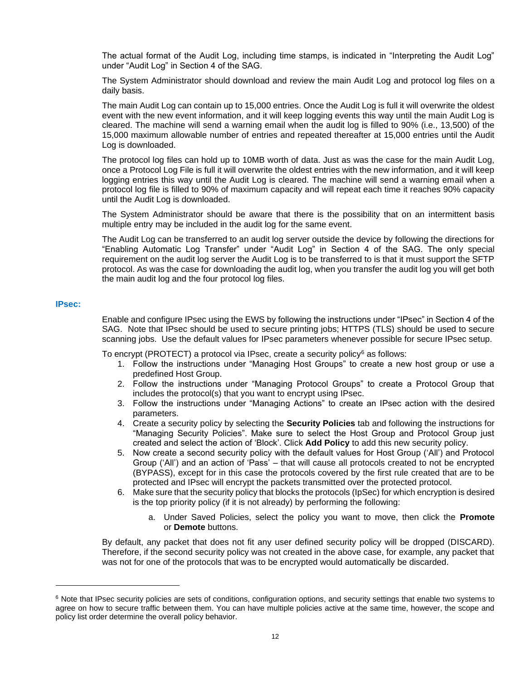The actual format of the Audit Log, including time stamps, is indicated in "Interpreting the Audit Log" under "Audit Log" in Section 4 of the SAG.

The System Administrator should download and review the main Audit Log and protocol log files on a daily basis.

The main Audit Log can contain up to 15,000 entries. Once the Audit Log is full it will overwrite the oldest event with the new event information, and it will keep logging events this way until the main Audit Log is cleared. The machine will send a warning email when the audit log is filled to 90% (i.e., 13,500) of the 15,000 maximum allowable number of entries and repeated thereafter at 15,000 entries until the Audit Log is downloaded.

The protocol log files can hold up to 10MB worth of data. Just as was the case for the main Audit Log, once a Protocol Log File is full it will overwrite the oldest entries with the new information, and it will keep logging entries this way until the Audit Log is cleared. The machine will send a warning email when a protocol log file is filled to 90% of maximum capacity and will repeat each time it reaches 90% capacity until the Audit Log is downloaded.

The System Administrator should be aware that there is the possibility that on an intermittent basis multiple entry may be included in the audit log for the same event.

The Audit Log can be transferred to an audit log server outside the device by following the directions for "Enabling Automatic Log Transfer" under "Audit Log" in Section 4 of the SAG. The only special requirement on the audit log server the Audit Log is to be transferred to is that it must support the SFTP protocol. As was the case for downloading the audit log, when you transfer the audit log you will get both the main audit log and the four protocol log files.

#### <span id="page-12-0"></span>**IPsec:**

Enable and configure IPsec using the EWS by following the instructions under "IPsec" in Section 4 of the SAG. Note that IPsec should be used to secure printing jobs; HTTPS (TLS) should be used to secure scanning jobs. Use the default values for IPsec parameters whenever possible for secure IPsec setup.

To encrypt (PROTECT) a protocol via IPsec, create a security policy<sup>6</sup> as follows:

- 1. Follow the instructions under "Managing Host Groups" to create a new host group or use a predefined Host Group.
- 2. Follow the instructions under "Managing Protocol Groups" to create a Protocol Group that includes the protocol(s) that you want to encrypt using IPsec.
- 3. Follow the instructions under "Managing Actions" to create an IPsec action with the desired parameters.
- 4. Create a security policy by selecting the **Security Policies** tab and following the instructions for "Managing Security Policies". Make sure to select the Host Group and Protocol Group just created and select the action of 'Block'. Click **Add Policy** to add this new security policy.
- 5. Now create a second security policy with the default values for Host Group ('All') and Protocol Group ('All') and an action of 'Pass' – that will cause all protocols created to not be encrypted (BYPASS), except for in this case the protocols covered by the first rule created that are to be protected and IPsec will encrypt the packets transmitted over the protected protocol.
- 6. Make sure that the security policy that blocks the protocols (IpSec) for which encryption is desired is the top priority policy (if it is not already) by performing the following:
	- a. Under Saved Policies, select the policy you want to move, then click the **Promote** or **Demote** buttons.

By default, any packet that does not fit any user defined security policy will be dropped (DISCARD). Therefore, if the second security policy was not created in the above case, for example, any packet that was not for one of the protocols that was to be encrypted would automatically be discarded.

 $6$  Note that IPsec security policies are sets of conditions, configuration options, and security settings that enable two systems to agree on how to secure traffic between them. You can have multiple policies active at the same time, however, the scope and policy list order determine the overall policy behavior.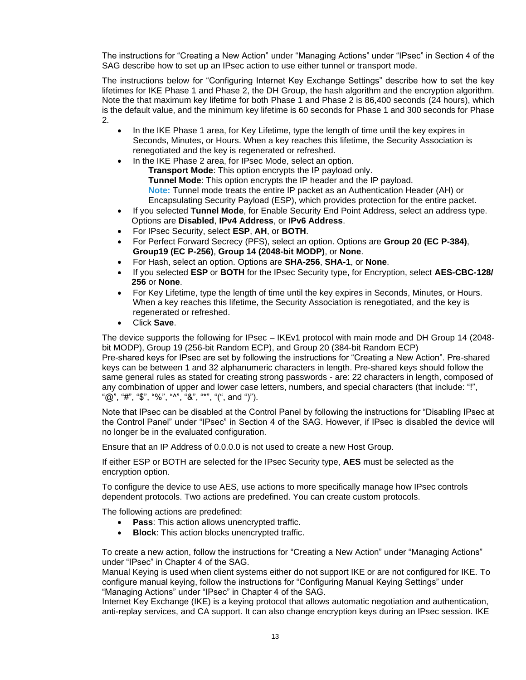The instructions for "Creating a New Action" under "Managing Actions" under "IPsec" in Section 4 of the SAG describe how to set up an IPsec action to use either tunnel or transport mode.

The instructions below for "Configuring Internet Key Exchange Settings" describe how to set the key lifetimes for IKE Phase 1 and Phase 2, the DH Group, the hash algorithm and the encryption algorithm. Note the that maximum key lifetime for both Phase 1 and Phase 2 is 86,400 seconds (24 hours), which is the default value, and the minimum key lifetime is 60 seconds for Phase 1 and 300 seconds for Phase 2.

- In the IKE Phase 1 area, for Key Lifetime, type the length of time until the key expires in Seconds, Minutes, or Hours. When a key reaches this lifetime, the Security Association is renegotiated and the key is regenerated or refreshed.
	- In the IKE Phase 2 area, for IPsec Mode, select an option. **Transport Mode**: This option encrypts the IP payload only. **Tunnel Mode**: This option encrypts the IP header and the IP payload. **Note:** Tunnel mode treats the entire IP packet as an Authentication Header (AH) or Encapsulating Security Payload (ESP), which provides protection for the entire packet.
- If you selected **Tunnel Mode**, for Enable Security End Point Address, select an address type. Options are **Disabled**, **IPv4 Address**, or **IPv6 Address**.
- For IPsec Security, select **ESP**, **AH**, or **BOTH**.
- For Perfect Forward Secrecy (PFS), select an option. Options are **Group 20 (EC P-384)**, **Group19 (EC P-256)**, **Group 14 (2048-bit MODP)**, or **None**.
- For Hash, select an option. Options are **SHA-256**, **SHA-1**, or **None**.
- If you selected **ESP** or **BOTH** for the IPsec Security type, for Encryption, select **AES-CBC-128/ 256** or **None**.
- For Key Lifetime, type the length of time until the key expires in Seconds, Minutes, or Hours. When a key reaches this lifetime, the Security Association is renegotiated, and the key is regenerated or refreshed.
- Click **Save**.

The device supports the following for IPsec – IKEv1 protocol with main mode and DH Group 14 (2048 bit MODP), Group 19 (256-bit Random ECP), and Group 20 (384-bit Random ECP) Pre-shared keys for IPsec are set by following the instructions for "Creating a New Action". Pre-shared keys can be between 1 and 32 alphanumeric characters in length. Pre-shared keys should follow the same general rules as stated for creating strong passwords - are: 22 characters in length, composed of any combination of upper and lower case letters, numbers, and special characters (that include: "!", " $@$ ", "#", "\$", "%", "^", "&", "\*", "(", and ")").

Note that IPsec can be disabled at the Control Panel by following the instructions for "Disabling IPsec at the Control Panel" under "IPsec" in Section 4 of the SAG. However, if IPsec is disabled the device will no longer be in the evaluated configuration.

Ensure that an IP Address of 0.0.0.0 is not used to create a new Host Group.

If either ESP or BOTH are selected for the IPsec Security type, **AES** must be selected as the encryption option.

To configure the device to use AES, use actions to more specifically manage how IPsec controls dependent protocols. Two actions are predefined. You can create custom protocols.

The following actions are predefined:

- **Pass**: This action allows unencrypted traffic.
- **Block:** This action blocks unencrypted traffic.

To create a new action, follow the instructions for "Creating a New Action" under "Managing Actions" under "IPsec" in Chapter 4 of the SAG.

Manual Keying is used when client systems either do not support IKE or are not configured for IKE. To configure manual keying, follow the instructions for "Configuring Manual Keying Settings" under "Managing Actions" under "IPsec" in Chapter 4 of the SAG.

Internet Key Exchange (IKE) is a keying protocol that allows automatic negotiation and authentication, anti-replay services, and CA support. It can also change encryption keys during an IPsec session. IKE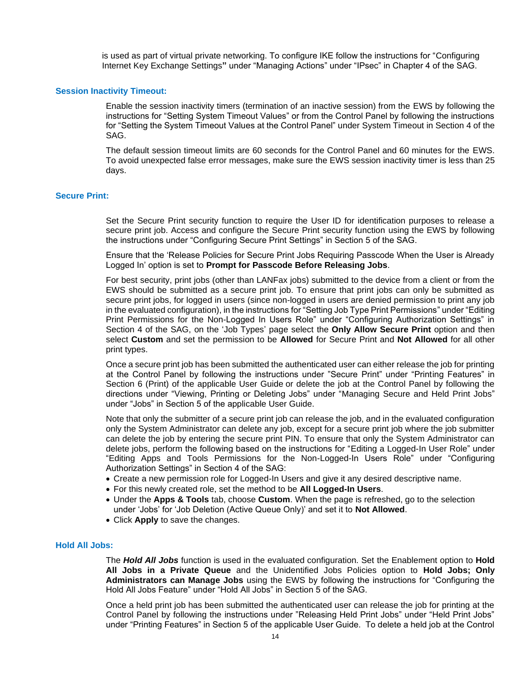is used as part of virtual private networking. To configure IKE follow the instructions for "Configuring Internet Key Exchange Settings**"** under "Managing Actions" under "IPsec" in Chapter 4 of the SAG.

#### <span id="page-14-0"></span>**Session Inactivity Timeout:**

Enable the session inactivity timers (termination of an inactive session) from the EWS by following the instructions for "Setting System Timeout Values" or from the Control Panel by following the instructions for "Setting the System Timeout Values at the Control Panel" under System Timeout in Section 4 of the SAG.

The default session timeout limits are 60 seconds for the Control Panel and 60 minutes for the EWS. To avoid unexpected false error messages, make sure the EWS session inactivity timer is less than 25 days.

#### <span id="page-14-1"></span>**Secure Print:**

Set the Secure Print security function to require the User ID for identification purposes to release a secure print job. Access and configure the Secure Print security function using the EWS by following the instructions under "Configuring Secure Print Settings" in Section 5 of the SAG.

Ensure that the 'Release Policies for Secure Print Jobs Requiring Passcode When the User is Already Logged In' option is set to **Prompt for Passcode Before Releasing Jobs**.

For best security, print jobs (other than LANFax jobs) submitted to the device from a client or from the EWS should be submitted as a secure print job. To ensure that print jobs can only be submitted as secure print jobs, for logged in users (since non-logged in users are denied permission to print any job in the evaluated configuration), in the instructions for "Setting Job Type Print Permissions" under "Editing Print Permissions for the Non-Logged In Users Role" under "Configuring Authorization Settings" in Section 4 of the SAG, on the 'Job Types' page select the **Only Allow Secure Print** option and then select **Custom** and set the permission to be **Allowed** for Secure Print and **Not Allowed** for all other print types.

Once a secure print job has been submitted the authenticated user can either release the job for printing at the Control Panel by following the instructions under "Secure Print" under "Printing Features" in Section 6 (Print) of the applicable User Guide or delete the job at the Control Panel by following the directions under "Viewing, Printing or Deleting Jobs" under "Managing Secure and Held Print Jobs" under "Jobs" in Section 5 of the applicable User Guide.

Note that only the submitter of a secure print job can release the job, and in the evaluated configuration only the System Administrator can delete any job, except for a secure print job where the job submitter can delete the job by entering the secure print PIN. To ensure that only the System Administrator can delete jobs, perform the following based on the instructions for "Editing a Logged-In User Role" under "Editing Apps and Tools Permissions for the Non-Logged-In Users Role" under "Configuring Authorization Settings" in Section 4 of the SAG:

- Create a new permission role for Logged-In Users and give it any desired descriptive name.
- For this newly created role, set the method to be **All Logged-In Users**.
- Under the **Apps & Tools** tab, choose **Custom**. When the page is refreshed, go to the selection under 'Jobs' for 'Job Deletion (Active Queue Only)' and set it to **Not Allowed**.
- Click **Apply** to save the changes.

#### <span id="page-14-2"></span>**Hold All Jobs:**

The *Hold All Jobs* function is used in the evaluated configuration. Set the Enablement option to **Hold All Jobs in a Private Queue** and the Unidentified Jobs Policies option to **Hold Jobs; Only Administrators can Manage Jobs** using the EWS by following the instructions for "Configuring the Hold All Jobs Feature" under "Hold All Jobs" in Section 5 of the SAG.

Once a held print job has been submitted the authenticated user can release the job for printing at the Control Panel by following the instructions under "Releasing Held Print Jobs" under "Held Print Jobs" under "Printing Features" in Section 5 of the applicable User Guide. To delete a held job at the Control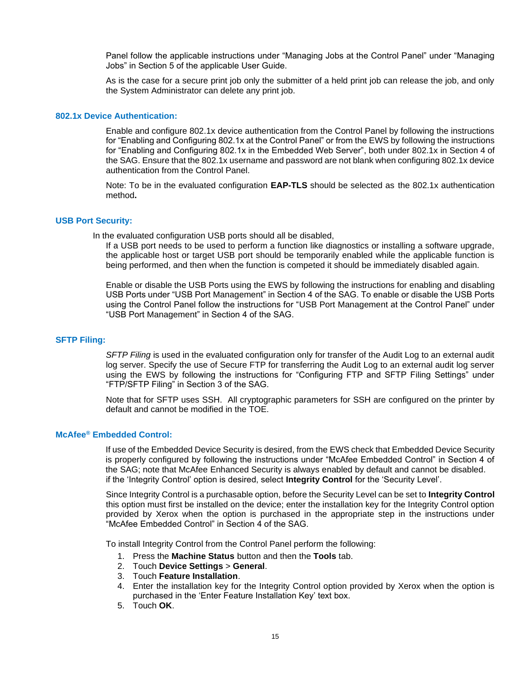Panel follow the applicable instructions under "Managing Jobs at the Control Panel" under "Managing Jobs" in Section 5 of the applicable User Guide.

As is the case for a secure print job only the submitter of a held print job can release the job, and only the System Administrator can delete any print job.

#### <span id="page-15-0"></span>**802.1x Device Authentication:**

Enable and configure 802.1x device authentication from the Control Panel by following the instructions for "Enabling and Configuring 802.1x at the Control Panel" or from the EWS by following the instructions for "Enabling and Configuring 802.1x in the Embedded Web Server", both under 802.1x in Section 4 of the SAG. Ensure that the 802.1x username and password are not blank when configuring 802.1x device authentication from the Control Panel.

Note: To be in the evaluated configuration **EAP-TLS** should be selected as the 802.1x authentication method**.**

#### <span id="page-15-1"></span>**USB Port Security:**

In the evaluated configuration USB ports should all be disabled,

If a USB port needs to be used to perform a function like diagnostics or installing a software upgrade, the applicable host or target USB port should be temporarily enabled while the applicable function is being performed, and then when the function is competed it should be immediately disabled again.

Enable or disable the USB Ports using the EWS by following the instructions for enabling and disabling USB Ports under "USB Port Management" in Section 4 of the SAG. To enable or disable the USB Ports using the Control Panel follow the instructions for "USB Port Management at the Control Panel" under "USB Port Management" in Section 4 of the SAG.

#### <span id="page-15-2"></span>**SFTP Filing:**

*SFTP Filing* is used in the evaluated configuration only for transfer of the Audit Log to an external audit log server. Specify the use of Secure FTP for transferring the Audit Log to an external audit log server using the EWS by following the instructions for "Configuring FTP and SFTP Filing Settings" under "FTP/SFTP Filing" in Section 3 of the SAG.

Note that for SFTP uses SSH. All cryptographic parameters for SSH are configured on the printer by default and cannot be modified in the TOE.

#### <span id="page-15-3"></span>**McAfee® Embedded Control:**

If use of the Embedded Device Security is desired, from the EWS check that Embedded Device Security is properly configured by following the instructions under "McAfee Embedded Control" in Section 4 of the SAG; note that McAfee Enhanced Security is always enabled by default and cannot be disabled. if the 'Integrity Control' option is desired, select **Integrity Control** for the 'Security Level'.

Since Integrity Control is a purchasable option, before the Security Level can be set to **Integrity Control**  this option must first be installed on the device; enter the installation key for the Integrity Control option provided by Xerox when the option is purchased in the appropriate step in the instructions under "McAfee Embedded Control" in Section 4 of the SAG.

To install Integrity Control from the Control Panel perform the following:

- 1. Press the **Machine Status** button and then the **Tools** tab.
- 2. Touch **Device Settings** > **General**.
- 3. Touch **Feature Installation**.
- 4. Enter the installation key for the Integrity Control option provided by Xerox when the option is purchased in the 'Enter Feature Installation Key' text box.
- 5. Touch **OK**.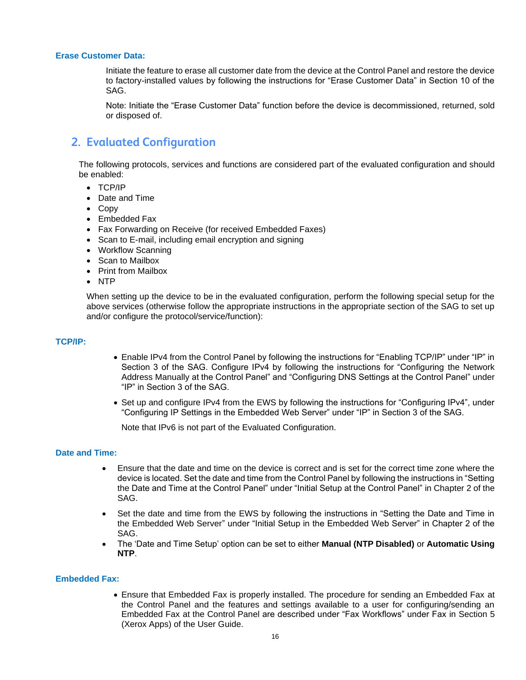#### <span id="page-16-0"></span>**Erase Customer Data:**

Initiate the feature to erase all customer date from the device at the Control Panel and restore the device to factory-installed values by following the instructions for "Erase Customer Data" in Section 10 of the SAG.

Note: Initiate the "Erase Customer Data" function before the device is decommissioned, returned, sold or disposed of.

### <span id="page-16-1"></span>**2. Evaluated Configuration**

The following protocols, services and functions are considered part of the evaluated configuration and should be enabled:

- TCP/IP
- Date and Time
- Copy
- Embedded Fax
- Fax Forwarding on Receive (for received Embedded Faxes)
- Scan to E-mail, including email encryption and signing
- Workflow Scanning
- Scan to Mailbox
- Print from Mailbox
- NTP

When setting up the device to be in the evaluated configuration, perform the following special setup for the above services (otherwise follow the appropriate instructions in the appropriate section of the SAG to set up and/or configure the protocol/service/function):

#### <span id="page-16-2"></span>**TCP/IP:**

- Enable IPv4 from the Control Panel by following the instructions for "Enabling TCP/IP" under "IP" in Section 3 of the SAG. Configure IPv4 by following the instructions for "Configuring the Network Address Manually at the Control Panel" and "Configuring DNS Settings at the Control Panel" under "IP" in Section 3 of the SAG.
- Set up and configure IPv4 from the EWS by following the instructions for "Configuring IPv4", under "Configuring IP Settings in the Embedded Web Server" under "IP" in Section 3 of the SAG.

Note that IPv6 is not part of the Evaluated Configuration.

#### <span id="page-16-3"></span>**Date and Time:**

- Ensure that the date and time on the device is correct and is set for the correct time zone where the device is located. Set the date and time from the Control Panel by following the instructions in "Setting the Date and Time at the Control Panel" under "Initial Setup at the Control Panel" in Chapter 2 of the SAG.
- Set the date and time from the EWS by following the instructions in "Setting the Date and Time in the Embedded Web Server" under "Initial Setup in the Embedded Web Server" in Chapter 2 of the SAG.
- The 'Date and Time Setup' option can be set to either **Manual (NTP Disabled)** or **Automatic Using NTP**.

#### <span id="page-16-4"></span>**Embedded Fax:**

• Ensure that Embedded Fax is properly installed. The procedure for sending an Embedded Fax at the Control Panel and the features and settings available to a user for configuring/sending an Embedded Fax at the Control Panel are described under "Fax Workflows" under Fax in Section 5 (Xerox Apps) of the User Guide.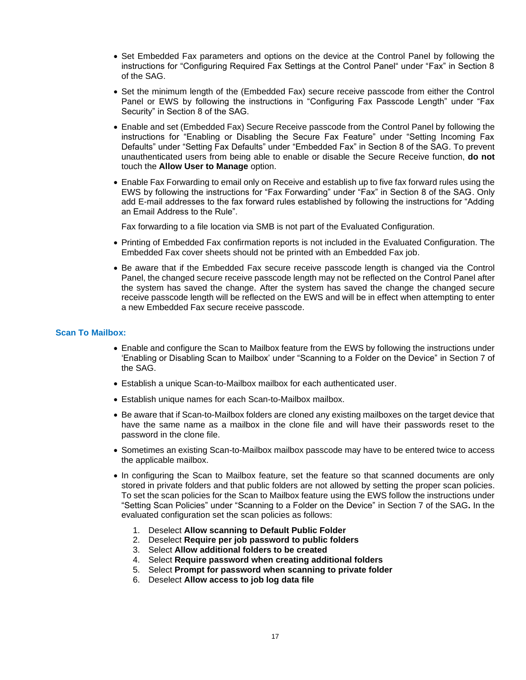- Set Embedded Fax parameters and options on the device at the Control Panel by following the instructions for "Configuring Required Fax Settings at the Control Panel" under "Fax" in Section 8 of the SAG.
- Set the minimum length of the (Embedded Fax) secure receive passcode from either the Control Panel or EWS by following the instructions in "Configuring Fax Passcode Length" under "Fax Security" in Section 8 of the SAG.
- Enable and set (Embedded Fax) Secure Receive passcode from the Control Panel by following the instructions for "Enabling or Disabling the Secure Fax Feature" under "Setting Incoming Fax Defaults" under "Setting Fax Defaults" under "Embedded Fax" in Section 8 of the SAG. To prevent unauthenticated users from being able to enable or disable the Secure Receive function, **do not** touch the **Allow User to Manage** option.
- Enable Fax Forwarding to email only on Receive and establish up to five fax forward rules using the EWS by following the instructions for "Fax Forwarding" under "Fax" in Section 8 of the SAG. Only add E-mail addresses to the fax forward rules established by following the instructions for "Adding an Email Address to the Rule".

Fax forwarding to a file location via SMB is not part of the Evaluated Configuration.

- Printing of Embedded Fax confirmation reports is not included in the Evaluated Configuration. The Embedded Fax cover sheets should not be printed with an Embedded Fax job.
- Be aware that if the Embedded Fax secure receive passcode length is changed via the Control Panel, the changed secure receive passcode length may not be reflected on the Control Panel after the system has saved the change. After the system has saved the change the changed secure receive passcode length will be reflected on the EWS and will be in effect when attempting to enter a new Embedded Fax secure receive passcode.

#### <span id="page-17-0"></span>**Scan To Mailbox:**

- Enable and configure the Scan to Mailbox feature from the EWS by following the instructions under 'Enabling or Disabling Scan to Mailbox' under "Scanning to a Folder on the Device" in Section 7 of the SAG.
- Establish a unique Scan-to-Mailbox mailbox for each authenticated user.
- Establish unique names for each Scan-to-Mailbox mailbox.
- Be aware that if Scan-to-Mailbox folders are cloned any existing mailboxes on the target device that have the same name as a mailbox in the clone file and will have their passwords reset to the password in the clone file.
- Sometimes an existing Scan-to-Mailbox mailbox passcode may have to be entered twice to access the applicable mailbox.
- In configuring the Scan to Mailbox feature, set the feature so that scanned documents are only stored in private folders and that public folders are not allowed by setting the proper scan policies. To set the scan policies for the Scan to Mailbox feature using the EWS follow the instructions under "Setting Scan Policies" under "Scanning to a Folder on the Device" in Section 7 of the SAG**.** In the evaluated configuration set the scan policies as follows:
	- 1. Deselect **Allow scanning to Default Public Folder**
	- 2. Deselect **Require per job password to public folders**
	- 3. Select **Allow additional folders to be created**
	- 4. Select **Require password when creating additional folders**
	- 5. Select **Prompt for password when scanning to private folder**
	- 6. Deselect **Allow access to job log data file**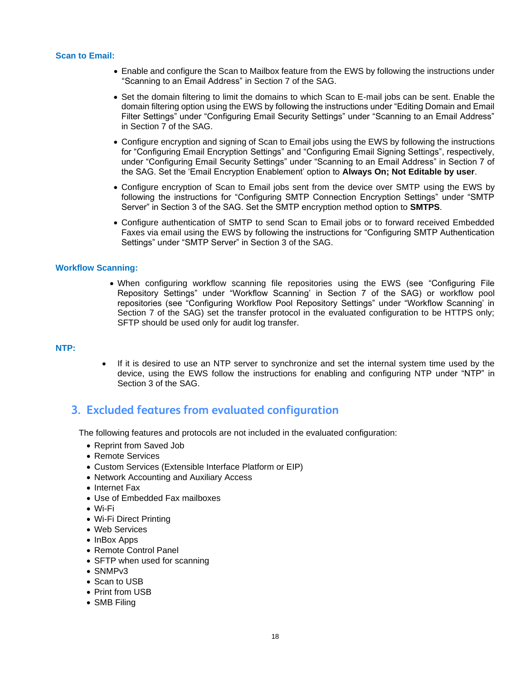#### <span id="page-18-0"></span>**Scan to Email:**

- Enable and configure the Scan to Mailbox feature from the EWS by following the instructions under "Scanning to an Email Address" in Section 7 of the SAG.
- Set the domain filtering to limit the domains to which Scan to E-mail jobs can be sent. Enable the domain filtering option using the EWS by following the instructions under "Editing Domain and Email Filter Settings" under "Configuring Email Security Settings" under "Scanning to an Email Address" in Section 7 of the SAG.
- Configure encryption and signing of Scan to Email jobs using the EWS by following the instructions for "Configuring Email Encryption Settings" and "Configuring Email Signing Settings", respectively, under "Configuring Email Security Settings" under "Scanning to an Email Address" in Section 7 of the SAG. Set the 'Email Encryption Enablement' option to **Always On; Not Editable by user**.
- Configure encryption of Scan to Email jobs sent from the device over SMTP using the EWS by following the instructions for "Configuring SMTP Connection Encryption Settings" under "SMTP Server" in Section 3 of the SAG. Set the SMTP encryption method option to **SMTPS**.
- Configure authentication of SMTP to send Scan to Email jobs or to forward received Embedded Faxes via email using the EWS by following the instructions for "Configuring SMTP Authentication Settings" under "SMTP Server" in Section 3 of the SAG.

#### <span id="page-18-1"></span>**Workflow Scanning:**

• When configuring workflow scanning file repositories using the EWS (see "Configuring File Repository Settings" under "Workflow Scanning' in Section 7 of the SAG) or workflow pool repositories (see "Configuring Workflow Pool Repository Settings" under "Workflow Scanning' in Section 7 of the SAG) set the transfer protocol in the evaluated configuration to be HTTPS only; SFTP should be used only for audit log transfer.

#### <span id="page-18-2"></span>**NTP:**

If it is desired to use an NTP server to synchronize and set the internal system time used by the device, using the EWS follow the instructions for enabling and configuring NTP under "NTP" in Section 3 of the SAG.

### <span id="page-18-3"></span>**3. Excluded features from evaluated configuration**

The following features and protocols are not included in the evaluated configuration:

- Reprint from Saved Job
- Remote Services
- Custom Services (Extensible Interface Platform or EIP)
- Network Accounting and Auxiliary Access
- Internet Fax
- Use of Embedded Fax mailboxes
- Wi-Fi
- Wi-Fi Direct Printing
- Web Services
- InBox Apps
- Remote Control Panel
- SFTP when used for scanning
- SNMPv3
- Scan to USB
- Print from USB
- SMB Filing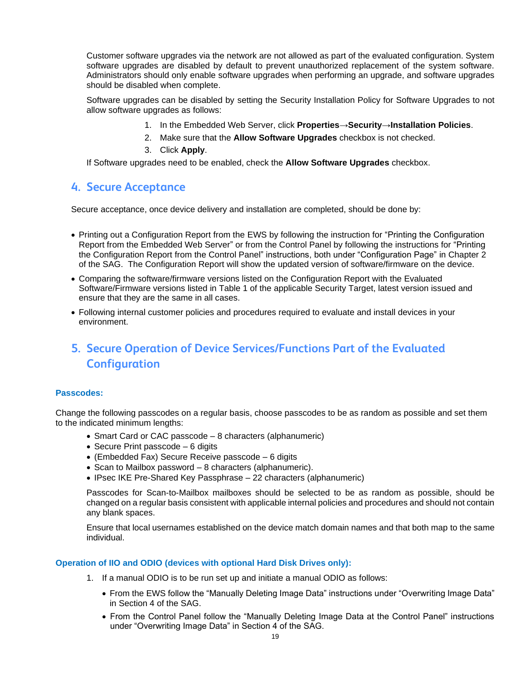Customer software upgrades via the network are not allowed as part of the evaluated configuration. System software upgrades are disabled by default to prevent unauthorized replacement of the system software. Administrators should only enable software upgrades when performing an upgrade, and software upgrades should be disabled when complete.

Software upgrades can be disabled by setting the Security Installation Policy for Software Upgrades to not allow software upgrades as follows:

- 1. In the Embedded Web Server, click **Properties**→**Security**→**Installation Policies**.
- 2. Make sure that the **Allow Software Upgrades** checkbox is not checked.
- 3. Click **Apply**.

If Software upgrades need to be enabled, check the **Allow Software Upgrades** checkbox.

### <span id="page-19-0"></span>**4. Secure Acceptance**

Secure acceptance, once device delivery and installation are completed, should be done by:

- Printing out a Configuration Report from the EWS by following the instruction for "Printing the Configuration Report from the Embedded Web Server" or from the Control Panel by following the instructions for "Printing the Configuration Report from the Control Panel" instructions, both under "Configuration Page" in Chapter 2 of the SAG. The Configuration Report will show the updated version of software/firmware on the device.
- Comparing the software/firmware versions listed on the Configuration Report with the Evaluated Software/Firmware versions listed in Table 1 of the applicable Security Target, latest version issued and ensure that they are the same in all cases.
- Following internal customer policies and procedures required to evaluate and install devices in your environment.

# <span id="page-19-1"></span>**5. Secure Operation of Device Services/Functions Part of the Evaluated Configuration**

#### <span id="page-19-2"></span>**Passcodes:**

Change the following passcodes on a regular basis, choose passcodes to be as random as possible and set them to the indicated minimum lengths:

- Smart Card or CAC passcode 8 characters (alphanumeric)
- Secure Print passcode 6 digits
- (Embedded Fax) Secure Receive passcode 6 digits
- Scan to Mailbox password 8 characters (alphanumeric).
- IPsec IKE Pre-Shared Key Passphrase 22 characters (alphanumeric)

Passcodes for Scan-to-Mailbox mailboxes should be selected to be as random as possible, should be changed on a regular basis consistent with applicable internal policies and procedures and should not contain any blank spaces.

Ensure that local usernames established on the device match domain names and that both map to the same individual.

#### <span id="page-19-3"></span>**Operation of IIO and ODIO (devices with optional Hard Disk Drives only):**

- 1. If a manual ODIO is to be run set up and initiate a manual ODIO as follows:
	- From the EWS follow the "Manually Deleting Image Data" instructions under "Overwriting Image Data" in Section 4 of the SAG.
	- From the Control Panel follow the "Manually Deleting Image Data at the Control Panel" instructions under "Overwriting Image Data" in Section 4 of the SAG.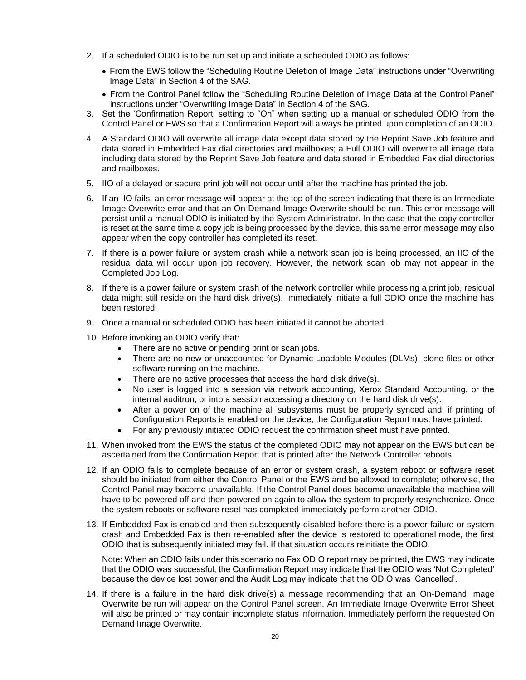- 2. If a scheduled ODIO is to be run set up and initiate a scheduled ODIO as follows:
	- From the EWS follow the "Scheduling Routine Deletion of Image Data" instructions under "Overwriting Image Data" in Section 4 of the SAG.
	- From the Control Panel follow the "Scheduling Routine Deletion of Image Data at the Control Panel" instructions under "Overwriting Image Data" in Section 4 of the SAG.
- 3. Set the 'Confirmation Report' setting to "On" when setting up a manual or scheduled ODIO from the Control Panel or EWS so that a Confirmation Report will always be printed upon completion of an ODIO.
- 4. A Standard ODIO will overwrite all image data except data stored by the Reprint Save Job feature and data stored in Embedded Fax dial directories and mailboxes; a Full ODIO will overwrite all image data including data stored by the Reprint Save Job feature and data stored in Embedded Fax dial directories and mailboxes.
- 5. IIO of a delayed or secure print job will not occur until after the machine has printed the job.
- 6. If an IIO fails, an error message will appear at the top of the screen indicating that there is an Immediate Image Overwrite error and that an On-Demand Image Overwrite should be run. This error message will persist until a manual ODIO is initiated by the System Administrator. In the case that the copy controller is reset at the same time a copy job is being processed by the device, this same error message may also appear when the copy controller has completed its reset.
- 7. If there is a power failure or system crash while a network scan job is being processed, an IIO of the residual data will occur upon job recovery. However, the network scan job may not appear in the Completed Job Log.
- 8. If there is a power failure or system crash of the network controller while processing a print job, residual data might still reside on the hard disk drive(s). Immediately initiate a full ODIO once the machine has been restored.
- 9. Once a manual or scheduled ODIO has been initiated it cannot be aborted.
- 10. Before invoking an ODIO verify that:
	- There are no active or pending print or scan jobs.
	- There are no new or unaccounted for Dynamic Loadable Modules (DLMs), clone files or other software running on the machine.
	- There are no active processes that access the hard disk drive(s).
	- No user is logged into a session via network accounting, Xerox Standard Accounting, or the internal auditron, or into a session accessing a directory on the hard disk drive(s).
	- After a power on of the machine all subsystems must be properly synced and, if printing of Configuration Reports is enabled on the device, the Configuration Report must have printed.
	- For any previously initiated ODIO request the confirmation sheet must have printed.
- 11. When invoked from the EWS the status of the completed ODIO may not appear on the EWS but can be ascertained from the Confirmation Report that is printed after the Network Controller reboots.
- 12. If an ODIO fails to complete because of an error or system crash, a system reboot or software reset should be initiated from either the Control Panel or the EWS and be allowed to complete; otherwise, the Control Panel may become unavailable. If the Control Panel does become unavailable the machine will have to be powered off and then powered on again to allow the system to properly resynchronize. Once the system reboots or software reset has completed immediately perform another ODIO.
- 13. If Embedded Fax is enabled and then subsequently disabled before there is a power failure or system crash and Embedded Fax is then re-enabled after the device is restored to operational mode, the first ODIO that is subsequently initiated may fail. If that situation occurs reinitiate the ODIO.

Note: When an ODIO fails under this scenario no Fax ODIO report may be printed, the EWS may indicate that the ODIO was successful, the Confirmation Report may indicate that the ODIO was 'Not Completed' because the device lost power and the Audit Log may indicate that the ODIO was 'Cancelled'.

14. If there is a failure in the hard disk drive(s) a message recommending that an On-Demand Image Overwrite be run will appear on the Control Panel screen. An Immediate Image Overwrite Error Sheet will also be printed or may contain incomplete status information. Immediately perform the requested On Demand Image Overwrite.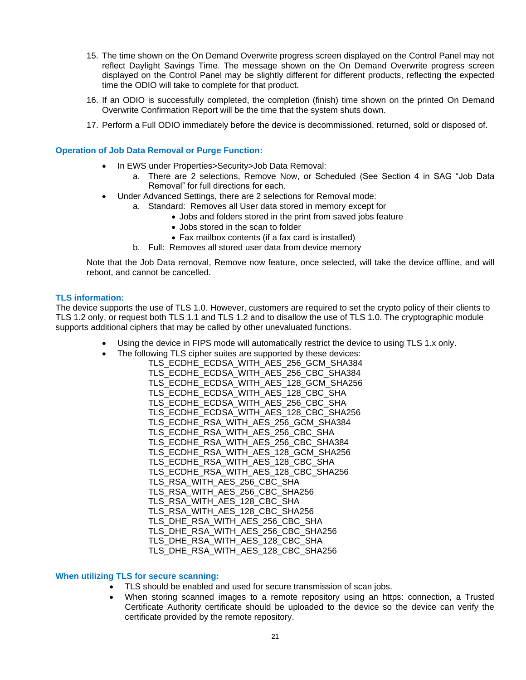- 15. The time shown on the On Demand Overwrite progress screen displayed on the Control Panel may not reflect Daylight Savings Time. The message shown on the On Demand Overwrite progress screen displayed on the Control Panel may be slightly different for different products, reflecting the expected time the ODIO will take to complete for that product.
- 16. If an ODIO is successfully completed, the completion (finish) time shown on the printed On Demand Overwrite Confirmation Report will be the time that the system shuts down.
- 17. Perform a Full ODIO immediately before the device is decommissioned, returned, sold or disposed of.

#### <span id="page-21-0"></span>**Operation of Job Data Removal or Purge Function:**

- In EWS under Properties>Security>Job Data Removal:
	- a. There are 2 selections, Remove Now, or Scheduled (See Section 4 in SAG "Job Data Removal" for full directions for each.
- Under Advanced Settings, there are 2 selections for Removal mode:
	- a. Standard: Removes all User data stored in memory except for
		- Jobs and folders stored in the print from saved jobs feature
		- Jobs stored in the scan to folder
		- Fax mailbox contents (if a fax card is installed)
	- b. Full: Removes all stored user data from device memory

Note that the Job Data removal, Remove now feature, once selected, will take the device offline, and will reboot, and cannot be cancelled.

#### <span id="page-21-1"></span>**TLS information:**

The device supports the use of TLS 1.0. However, customers are required to set the crypto policy of their clients to TLS 1.2 only, or request both TLS 1.1 and TLS 1.2 and to disallow the use of TLS 1.0. The cryptographic module supports additional ciphers that may be called by other unevaluated functions.

- Using the device in FIPS mode will automatically restrict the device to using TLS 1.x only.
- The following TLS cipher suites are supported by these devices:
	- TLS\_ECDHE\_ECDSA\_WITH\_AES\_256\_GCM\_SHA384 TLS\_ECDHE\_ECDSA\_WITH\_AES\_256\_CBC\_SHA384 TLS\_ECDHE\_ECDSA\_WITH\_AES\_128\_GCM\_SHA256 TLS\_ECDHE\_ECDSA\_WITH\_AES\_128\_CBC\_SHA TLS\_ECDHE\_ECDSA\_WITH\_AES\_256\_CBC\_SHA TLS\_ECDHE\_ECDSA\_WITH\_AES\_128\_CBC\_SHA256 TLS\_ECDHE\_RSA\_WITH\_AES\_256\_GCM\_SHA384 TLS\_ECDHE\_RSA\_WITH\_AES\_256\_CBC\_SHA TLS\_ECDHE\_RSA\_WITH\_AES\_256\_CBC\_SHA384 TLS\_ECDHE\_RSA\_WITH\_AES\_128\_GCM\_SHA256 TLS\_ECDHE\_RSA\_WITH\_AES\_128\_CBC\_SHA TLS\_ECDHE\_RSA\_WITH\_AES\_128\_CBC\_SHA256 TLS\_RSA\_WITH\_AES\_256\_CBC\_SHA TLS\_RSA\_WITH\_AES\_256\_CBC\_SHA256 TLS\_RSA\_WITH\_AES\_128\_CBC\_SHA TLS\_RSA\_WITH\_AES\_128\_CBC\_SHA256 TLS\_DHE\_RSA\_WITH\_AES\_256\_CBC\_SHA TLS\_DHE\_RSA\_WITH\_AES\_256\_CBC\_SHA256 TLS\_DHE\_RSA\_WITH\_AES\_128\_CBC\_SHA TLS\_DHE\_RSA\_WITH\_AES\_128\_CBC\_SHA256

#### <span id="page-21-2"></span>**When utilizing TLS for secure scanning:**

- TLS should be enabled and used for secure transmission of scan jobs.
- When storing scanned images to a remote repository using an https: connection, a Trusted Certificate Authority certificate should be uploaded to the device so the device can verify the certificate provided by the remote repository.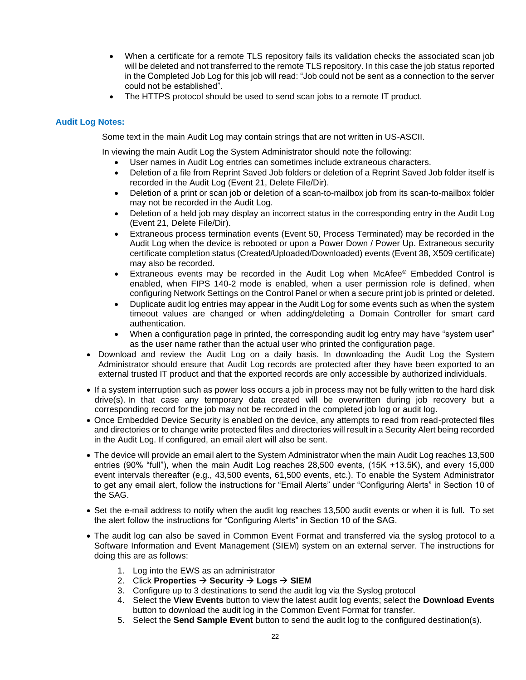- When a certificate for a remote TLS repository fails its validation checks the associated scan job will be deleted and not transferred to the remote TLS repository. In this case the job status reported in the Completed Job Log for this job will read: "Job could not be sent as a connection to the server could not be established".
- The HTTPS protocol should be used to send scan jobs to a remote IT product.

#### <span id="page-22-0"></span>**Audit Log Notes:**

Some text in the main Audit Log may contain strings that are not written in US-ASCII.

In viewing the main Audit Log the System Administrator should note the following:

- User names in Audit Log entries can sometimes include extraneous characters.
- Deletion of a file from Reprint Saved Job folders or deletion of a Reprint Saved Job folder itself is recorded in the Audit Log (Event 21, Delete File/Dir).
- Deletion of a print or scan job or deletion of a scan-to-mailbox job from its scan-to-mailbox folder may not be recorded in the Audit Log.
- Deletion of a held job may display an incorrect status in the corresponding entry in the Audit Log (Event 21, Delete File/Dir).
- Extraneous process termination events (Event 50, Process Terminated) may be recorded in the Audit Log when the device is rebooted or upon a Power Down / Power Up. Extraneous security certificate completion status (Created/Uploaded/Downloaded) events (Event 38, X509 certificate) may also be recorded.
- Extraneous events may be recorded in the Audit Log when McAfee® Embedded Control is enabled, when FIPS 140-2 mode is enabled, when a user permission role is defined, when configuring Network Settings on the Control Panel or when a secure print job is printed or deleted.
- Duplicate audit log entries may appear in the Audit Log for some events such as when the system timeout values are changed or when adding/deleting a Domain Controller for smart card authentication.
- When a configuration page in printed, the corresponding audit log entry may have "system user" as the user name rather than the actual user who printed the configuration page.
- Download and review the Audit Log on a daily basis. In downloading the Audit Log the System Administrator should ensure that Audit Log records are protected after they have been exported to an external trusted IT product and that the exported records are only accessible by authorized individuals.
- If a system interruption such as power loss occurs a job in process may not be fully written to the hard disk drive(s). In that case any temporary data created will be overwritten during job recovery but a corresponding record for the job may not be recorded in the completed job log or audit log.
- Once Embedded Device Security is enabled on the device, any attempts to read from read-protected files and directories or to change write protected files and directories will result in a Security Alert being recorded in the Audit Log. If configured, an email alert will also be sent.
- The device will provide an email alert to the System Administrator when the main Audit Log reaches 13,500 entries (90% "full"), when the main Audit Log reaches 28,500 events, (15K +13.5K), and every 15,000 event intervals thereafter (e.g., 43,500 events, 61,500 events, etc.). To enable the System Administrator to get any email alert, follow the instructions for "Email Alerts" under "Configuring Alerts" in Section 10 of the SAG.
- Set the e-mail address to notify when the audit log reaches 13,500 audit events or when it is full. To set the alert follow the instructions for "Configuring Alerts" in Section 10 of the SAG.
- The audit log can also be saved in Common Event Format and transferred via the syslog protocol to a Software Information and Event Management (SIEM) system on an external server. The instructions for doing this are as follows:
	- 1. Log into the EWS as an administrator
	- 2. Click **Properties** → **Security** → **Logs** → **SIEM**
	- 3. Configure up to 3 destinations to send the audit log via the Syslog protocol
	- 4. Select the **View Events** button to view the latest audit log events; select the **Download Events** button to download the audit log in the Common Event Format for transfer.
	- 5. Select the **Send Sample Event** button to send the audit log to the configured destination(s).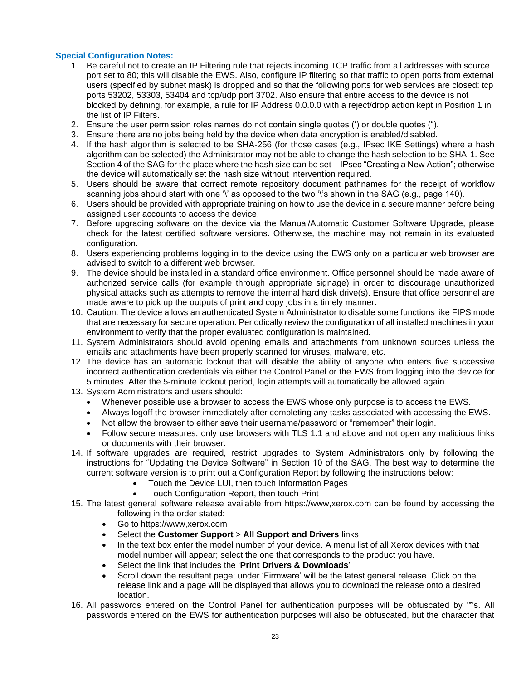#### <span id="page-23-0"></span>**Special Configuration Notes:**

- 1. Be careful not to create an IP Filtering rule that rejects incoming TCP traffic from all addresses with source port set to 80; this will disable the EWS. Also, configure IP filtering so that traffic to open ports from external users (specified by subnet mask) is dropped and so that the following ports for web services are closed: tcp ports 53202, 53303, 53404 and tcp/udp port 3702. Also ensure that entire access to the device is not blocked by defining, for example, a rule for IP Address 0.0.0.0 with a reject/drop action kept in Position 1 in the list of IP Filters.
- 2. Ensure the user permission roles names do not contain single quotes (') or double quotes (").
- 3. Ensure there are no jobs being held by the device when data encryption is enabled/disabled.
- 4. If the hash algorithm is selected to be SHA-256 (for those cases (e.g., IPsec IKE Settings) where a hash algorithm can be selected) the Administrator may not be able to change the hash selection to be SHA-1. See Section 4 of the SAG for the place where the hash size can be set – IPsec "Creating a New Action"; otherwise the device will automatically set the hash size without intervention required.
- 5. Users should be aware that correct remote repository document pathnames for the receipt of workflow scanning jobs should start with one '\' as opposed to the two '\'s shown in the SAG (e.g., page 140).
- 6. Users should be provided with appropriate training on how to use the device in a secure manner before being assigned user accounts to access the device.
- 7. Before upgrading software on the device via the Manual/Automatic Customer Software Upgrade, please check for the latest certified software versions. Otherwise, the machine may not remain in its evaluated configuration.
- 8. Users experiencing problems logging in to the device using the EWS only on a particular web browser are advised to switch to a different web browser.
- 9. The device should be installed in a standard office environment. Office personnel should be made aware of authorized service calls (for example through appropriate signage) in order to discourage unauthorized physical attacks such as attempts to remove the internal hard disk drive(s). Ensure that office personnel are made aware to pick up the outputs of print and copy jobs in a timely manner.
- 10. Caution: The device allows an authenticated System Administrator to disable some functions like FIPS mode that are necessary for secure operation. Periodically review the configuration of all installed machines in your environment to verify that the proper evaluated configuration is maintained.
- 11. System Administrators should avoid opening emails and attachments from unknown sources unless the emails and attachments have been properly scanned for viruses, malware, etc.
- 12. The device has an automatic lockout that will disable the ability of anyone who enters five successive incorrect authentication credentials via either the Control Panel or the EWS from logging into the device for 5 minutes. After the 5-minute lockout period, login attempts will automatically be allowed again.
- 13. System Administrators and users should:
	- Whenever possible use a browser to access the EWS whose only purpose is to access the EWS.
	- Always logoff the browser immediately after completing any tasks associated with accessing the EWS.
	- Not allow the browser to either save their username/password or "remember" their login.
	- Follow secure measures, only use browsers with TLS 1.1 and above and not open any malicious links or documents with their browser.
- 14. If software upgrades are required, restrict upgrades to System Administrators only by following the instructions for "Updating the Device Software" in Section 10 of the SAG. The best way to determine the current software version is to print out a Configuration Report by following the instructions below:
	- Touch the Device LUI, then touch Information Pages
	- Touch Configuration Report, then touch Print
- 15. The latest general software release available from https://www,xerox.com can be found by accessing the following in the order stated:
	- Go to https://www,xerox.com
	- Select the **Customer Support** > **All Support and Drivers** links
	- In the text box enter the model number of your device. A menu list of all Xerox devices with that model number will appear; select the one that corresponds to the product you have.
	- Select the link that includes the '**Print Drivers & Downloads**'
	- Scroll down the resultant page; under 'Firmware' will be the latest general release. Click on the release link and a page will be displayed that allows you to download the release onto a desired location.
- 16. All passwords entered on the Control Panel for authentication purposes will be obfuscated by '\*'s. All passwords entered on the EWS for authentication purposes will also be obfuscated, but the character that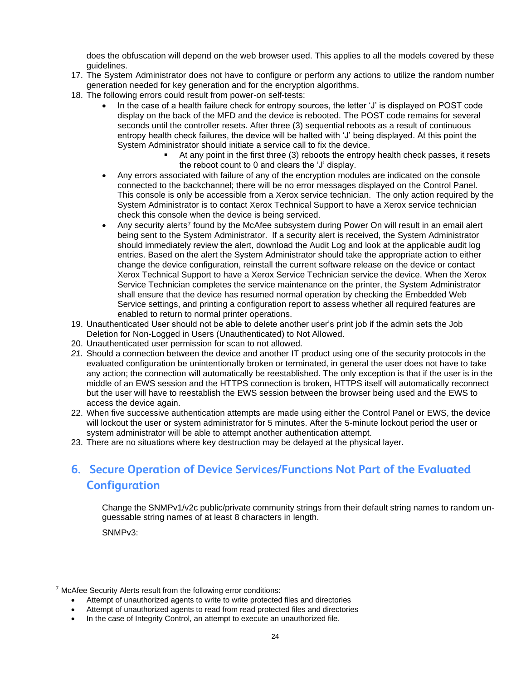does the obfuscation will depend on the web browser used. This applies to all the models covered by these guidelines.

- 17. The System Administrator does not have to configure or perform any actions to utilize the random number generation needed for key generation and for the encryption algorithms.
- 18. The following errors could result from power-on self-tests:
	- In the case of a health failure check for entropy sources, the letter 'J' is displayed on POST code display on the back of the MFD and the device is rebooted. The POST code remains for several seconds until the controller resets. After three (3) sequential reboots as a result of continuous entropy health check failures, the device will be halted with 'J' being displayed. At this point the System Administrator should initiate a service call to fix the device.
		- At any point in the first three (3) reboots the entropy health check passes, it resets the reboot count to 0 and clears the 'J' display.
	- Any errors associated with failure of any of the encryption modules are indicated on the console connected to the backchannel; there will be no error messages displayed on the Control Panel. This console is only be accessible from a Xerox service technician. The only action required by the System Administrator is to contact Xerox Technical Support to have a Xerox service technician check this console when the device is being serviced.
	- Any security alerts<sup>7</sup> found by the McAfee subsystem during Power On will result in an email alert being sent to the System Administrator. If a security alert is received, the System Administrator should immediately review the alert, download the Audit Log and look at the applicable audit log entries. Based on the alert the System Administrator should take the appropriate action to either change the device configuration, reinstall the current software release on the device or contact Xerox Technical Support to have a Xerox Service Technician service the device. When the Xerox Service Technician completes the service maintenance on the printer, the System Administrator shall ensure that the device has resumed normal operation by checking the Embedded Web Service settings, and printing a configuration report to assess whether all required features are enabled to return to normal printer operations.
- 19. Unauthenticated User should not be able to delete another user's print job if the admin sets the Job Deletion for Non-Logged in Users (Unauthenticated) to Not Allowed.
- 20. Unauthenticated user permission for scan to not allowed.
- *21.* Should a connection between the device and another IT product using one of the security protocols in the evaluated configuration be unintentionally broken or terminated, in general the user does not have to take any action; the connection will automatically be reestablished. The only exception is that if the user is in the middle of an EWS session and the HTTPS connection is broken, HTTPS itself will automatically reconnect but the user will have to reestablish the EWS session between the browser being used and the EWS to access the device again.
- 22. When five successive authentication attempts are made using either the Control Panel or EWS, the device will lockout the user or system administrator for 5 minutes. After the 5-minute lockout period the user or system administrator will be able to attempt another authentication attempt.
- 23. There are no situations where key destruction may be delayed at the physical layer.

# <span id="page-24-0"></span>**6. Secure Operation of Device Services/Functions Not Part of the Evaluated Configuration**

Change the SNMPv1/v2c public/private community strings from their default string names to random unguessable string names of at least 8 characters in length.

SNMPv3:

- Attempt of unauthorized agents to write to write protected files and directories
- Attempt of unauthorized agents to read from read protected files and directories

<sup>7</sup> McAfee Security Alerts result from the following error conditions:

<sup>•</sup> In the case of Integrity Control, an attempt to execute an unauthorized file.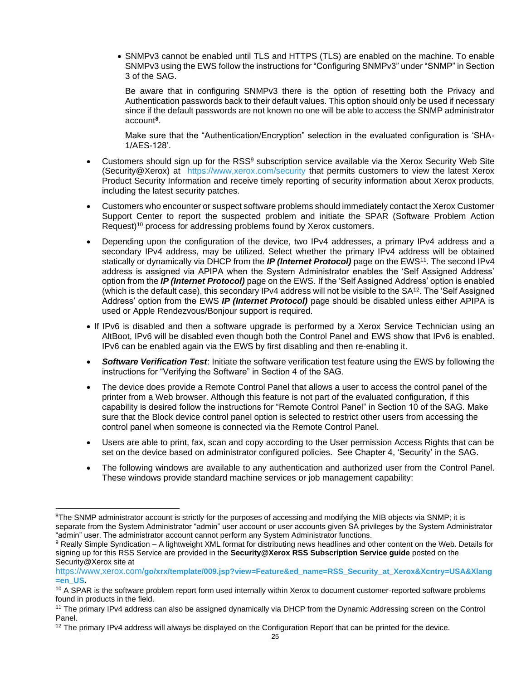• SNMPv3 cannot be enabled until TLS and HTTPS (TLS) are enabled on the machine. To enable SNMPv3 using the EWS follow the instructions for "Configuring SNMPv3" under "SNMP" in Section 3 of the SAG.

Be aware that in configuring SNMPv3 there is the option of resetting both the Privacy and Authentication passwords back to their default values. This option should only be used if necessary since if the default passwords are not known no one will be able to access the SNMP administrator account**<sup>8</sup>** .

Make sure that the "Authentication/Encryption" selection in the evaluated configuration is 'SHA-1/AES-128'.

- Customers should sign up for the RSS<sup>9</sup> subscription service available via the Xerox Security Web Site (Security@Xerox) at<https://www,xerox.com/security> that permits customers to view the latest Xerox Product Security Information and receive timely reporting of security information about Xerox products, including the latest security patches.
- Customers who encounter or suspect software problems should immediately contact the Xerox Customer Support Center to report the suspected problem and initiate the SPAR (Software Problem Action Request)<sup>10</sup> process for addressing problems found by Xerox customers.
- Depending upon the configuration of the device, two IPv4 addresses, a primary IPv4 address and a secondary IPv4 address, may be utilized. Select whether the primary IPv4 address will be obtained statically or dynamically via DHCP from the *IP (Internet Protocol)* page on the EWS<sup>11</sup>. The second IPv4 address is assigned via APIPA when the System Administrator enables the 'Self Assigned Address' option from the *IP (Internet Protocol)* page on the EWS. If the 'Self Assigned Address' option is enabled (which is the default case), this secondary IPv4 address will not be visible to the SA<sup>12</sup>. The 'Self Assigned Address' option from the EWS *IP (Internet Protocol)* page should be disabled unless either APIPA is used or Apple Rendezvous/Bonjour support is required.
- If IPv6 is disabled and then a software upgrade is performed by a Xerox Service Technician using an AltBoot, IPv6 will be disabled even though both the Control Panel and EWS show that IPv6 is enabled. IPv6 can be enabled again via the EWS by first disabling and then re-enabling it.
- *Software Verification Test*: Initiate the software verification test feature using the EWS by following the instructions for "Verifying the Software" in Section 4 of the SAG.
- The device does provide a Remote Control Panel that allows a user to access the control panel of the printer from a Web browser. Although this feature is not part of the evaluated configuration, if this capability is desired follow the instructions for "Remote Control Panel" in Section 10 of the SAG. Make sure that the Block device control panel option is selected to restrict other users from accessing the control panel when someone is connected via the Remote Control Panel.
- Users are able to print, fax, scan and copy according to the User permission Access Rights that can be set on the device based on administrator configured policies. See Chapter 4, 'Security' in the SAG.
- The following windows are available to any authentication and authorized user from the Control Panel. These windows provide standard machine services or job management capability:

<sup>&</sup>lt;sup>8</sup>The SNMP administrator account is strictly for the purposes of accessing and modifying the MIB objects via SNMP; it is separate from the System Administrator "admin" user account or user accounts given SA privileges by the System Administrator "admin" user. The administrator account cannot perform any System Administrator functions.

 $9$  Really Simple Syndication – A lightweight XML format for distributing news headlines and other content on the Web. Details for signing up for this RSS Service are provided in the **Security@Xerox RSS Subscription Service guide** posted on the Security@Xerox site at

https://www,xerox.com/**[go/xrx/template/009.jsp?view=Feature&ed\\_name=RSS\\_Security\\_at\\_Xerox&Xcntry=USA&Xlang](https://www,xerox.com/go/xrx/template/009.jsp?view=Feature&ed_name=RSS_Security_at_Xerox&Xcntry=USA&Xlang=en_US) [=en\\_US.](https://www,xerox.com/go/xrx/template/009.jsp?view=Feature&ed_name=RSS_Security_at_Xerox&Xcntry=USA&Xlang=en_US)** 

<sup>&</sup>lt;sup>10</sup> A SPAR is the software problem report form used internally within Xerox to document customer-reported software problems found in products in the field.

<sup>&</sup>lt;sup>11</sup> The primary IPv4 address can also be assigned dynamically via DHCP from the Dynamic Addressing screen on the Control Panel.

 $12$  The primary IPv4 address will always be displayed on the Configuration Report that can be printed for the device.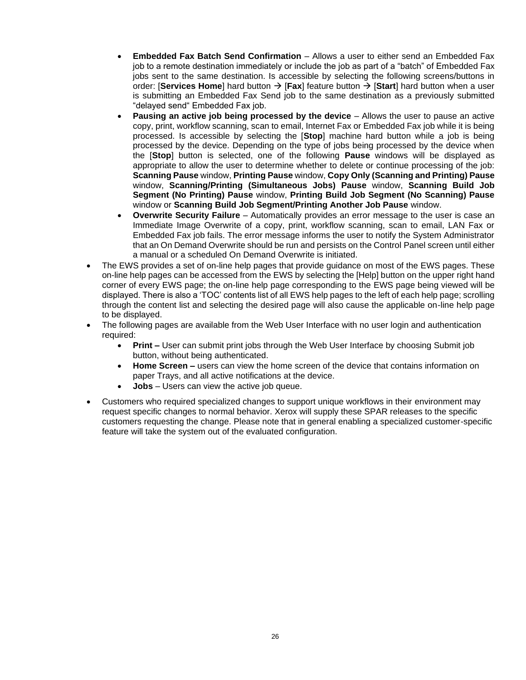- **Embedded Fax Batch Send Confirmation**  Allows a user to either send an Embedded Fax job to a remote destination immediately or include the job as part of a "batch" of Embedded Fax jobs sent to the same destination. Is accessible by selecting the following screens/buttons in order: [**Services Home**] hard button → [**Fax**] feature button → [**Start**] hard button when a user is submitting an Embedded Fax Send job to the same destination as a previously submitted "delayed send" Embedded Fax job.
- **Pausing an active job being processed by the device** Allows the user to pause an active copy, print, workflow scanning, scan to email, Internet Fax or Embedded Fax job while it is being processed. Is accessible by selecting the [**Stop**] machine hard button while a job is being processed by the device. Depending on the type of jobs being processed by the device when the [**Stop**] button is selected, one of the following **Pause** windows will be displayed as appropriate to allow the user to determine whether to delete or continue processing of the job: **Scanning Pause** window, **Printing Pause** window, **Copy Only (Scanning and Printing) Pause** window, **Scanning/Printing (Simultaneous Jobs) Pause** window, **Scanning Build Job Segment (No Printing) Pause** window, **Printing Build Job Segment (No Scanning) Pause**  window or **Scanning Build Job Segment/Printing Another Job Pause** window.
- **Overwrite Security Failure**  Automatically provides an error message to the user is case an Immediate Image Overwrite of a copy, print, workflow scanning, scan to email, LAN Fax or Embedded Fax job fails. The error message informs the user to notify the System Administrator that an On Demand Overwrite should be run and persists on the Control Panel screen until either a manual or a scheduled On Demand Overwrite is initiated.
- The EWS provides a set of on-line help pages that provide guidance on most of the EWS pages. These on-line help pages can be accessed from the EWS by selecting the [Help] button on the upper right hand corner of every EWS page; the on-line help page corresponding to the EWS page being viewed will be displayed. There is also a 'TOC' contents list of all EWS help pages to the left of each help page; scrolling through the content list and selecting the desired page will also cause the applicable on-line help page to be displayed.
- The following pages are available from the Web User Interface with no user login and authentication required:
	- **Print –** User can submit print jobs through the Web User Interface by choosing Submit job button, without being authenticated.
	- **Home Screen –** users can view the home screen of the device that contains information on paper Trays, and all active notifications at the device.
	- **Jobs** Users can view the active job queue.
- Customers who required specialized changes to support unique workflows in their environment may request specific changes to normal behavior. Xerox will supply these SPAR releases to the specific customers requesting the change. Please note that in general enabling a specialized customer-specific feature will take the system out of the evaluated configuration.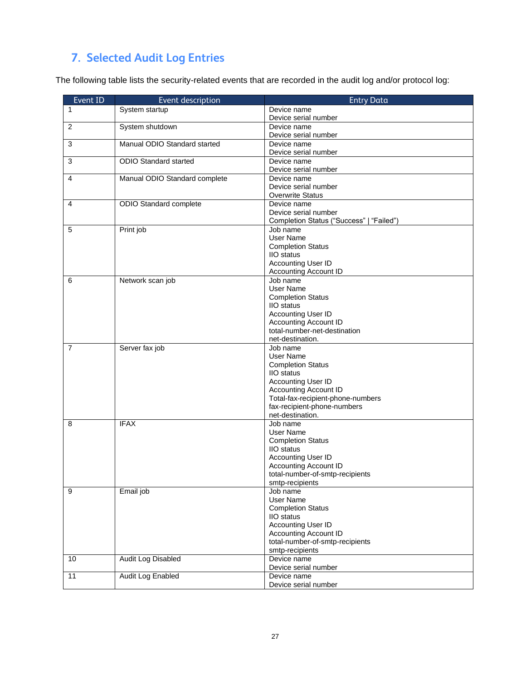# <span id="page-27-0"></span>**7. Selected Audit Log Entries**

The following table lists the security-related events that are recorded in the audit log and/or protocol log:

| Event ID | Event description             | <b>Entry Data</b>                        |
|----------|-------------------------------|------------------------------------------|
| 1        | System startup                | Device name                              |
|          |                               | Device serial number                     |
| 2        | System shutdown               | Device name                              |
|          |                               | Device serial number                     |
| 3        | Manual ODIO Standard started  | Device name                              |
|          |                               | Device serial number                     |
| 3        | <b>ODIO Standard started</b>  | Device name                              |
|          |                               | Device serial number                     |
| 4        | Manual ODIO Standard complete | Device name                              |
|          |                               | Device serial number                     |
|          |                               | <b>Overwrite Status</b>                  |
| 4        | ODIO Standard complete        | Device name                              |
|          |                               | Device serial number                     |
|          |                               | Completion Status ("Success"   "Failed") |
| 5        | Print job                     | Job name                                 |
|          |                               | User Name                                |
|          |                               | <b>Completion Status</b>                 |
|          |                               | <b>IIO</b> status                        |
|          |                               | Accounting User ID                       |
|          |                               | Accounting Account ID                    |
| 6        | Network scan job              | Job name                                 |
|          |                               | <b>User Name</b>                         |
|          |                               | <b>Completion Status</b>                 |
|          |                               | IIO status                               |
|          |                               | Accounting User ID                       |
|          |                               | <b>Accounting Account ID</b>             |
|          |                               | total-number-net-destination             |
|          |                               | net-destination.                         |
| 7        | Server fax job                | Job name                                 |
|          |                               | User Name                                |
|          |                               | <b>Completion Status</b><br>IIO status   |
|          |                               | Accounting User ID                       |
|          |                               | <b>Accounting Account ID</b>             |
|          |                               | Total-fax-recipient-phone-numbers        |
|          |                               | fax-recipient-phone-numbers              |
|          |                               | net-destination.                         |
| 8        | <b>IFAX</b>                   | Job name                                 |
|          |                               | User Name                                |
|          |                               | <b>Completion Status</b>                 |
|          |                               | <b>IIO</b> status                        |
|          |                               | Accounting User ID                       |
|          |                               | Accounting Account ID                    |
|          |                               | total-number-of-smtp-recipients          |
|          |                               | smtp-recipients                          |
| 9        | Email job                     | Job name                                 |
|          |                               | User Name                                |
|          |                               | <b>Completion Status</b>                 |
|          |                               | IIO status                               |
|          |                               | Accounting User ID                       |
|          |                               | <b>Accounting Account ID</b>             |
|          |                               | total-number-of-smtp-recipients          |
|          |                               | smtp-recipients                          |
| 10       | Audit Log Disabled            | Device name                              |
|          |                               | Device serial number                     |
| 11       | Audit Log Enabled             | Device name                              |
|          |                               | Device serial number                     |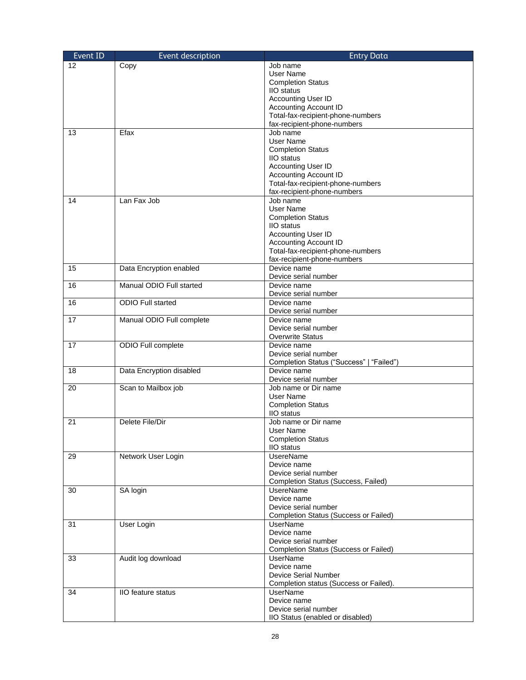| Event ID | Event description         | <b>Entry Data</b>                                                 |
|----------|---------------------------|-------------------------------------------------------------------|
| 12       | Copy                      | Job name                                                          |
|          |                           | User Name                                                         |
|          |                           | <b>Completion Status</b>                                          |
|          |                           | <b>IIO</b> status                                                 |
|          |                           | Accounting User ID                                                |
|          |                           | <b>Accounting Account ID</b><br>Total-fax-recipient-phone-numbers |
|          |                           | fax-recipient-phone-numbers                                       |
| 13       | Efax                      | Job name                                                          |
|          |                           | User Name                                                         |
|          |                           | <b>Completion Status</b>                                          |
|          |                           | <b>IIO</b> status                                                 |
|          |                           | Accounting User ID                                                |
|          |                           | <b>Accounting Account ID</b>                                      |
|          |                           | Total-fax-recipient-phone-numbers                                 |
|          |                           | fax-recipient-phone-numbers<br>Job name                           |
| 14       | Lan Fax Job               | User Name                                                         |
|          |                           | <b>Completion Status</b>                                          |
|          |                           | <b>IIO</b> status                                                 |
|          |                           | Accounting User ID                                                |
|          |                           | <b>Accounting Account ID</b>                                      |
|          |                           | Total-fax-recipient-phone-numbers                                 |
|          |                           | fax-recipient-phone-numbers                                       |
| 15       | Data Encryption enabled   | Device name                                                       |
|          |                           | Device serial number                                              |
| 16       | Manual ODIO Full started  | Device name                                                       |
|          | <b>ODIO Full started</b>  | Device serial number                                              |
| 16       |                           | Device name<br>Device serial number                               |
| 17       | Manual ODIO Full complete | Device name                                                       |
|          |                           | Device serial number                                              |
|          |                           | <b>Overwrite Status</b>                                           |
| 17       | ODIO Full complete        | Device name                                                       |
|          |                           | Device serial number                                              |
|          |                           | Completion Status ("Success"   "Failed")                          |
| 18       | Data Encryption disabled  | Device name                                                       |
|          |                           | Device serial number                                              |
| 20       | Scan to Mailbox job       | Job name or Dir name<br>User Name                                 |
|          |                           | <b>Completion Status</b>                                          |
|          |                           | <b>IIO</b> status                                                 |
| 21       | Delete File/Dir           | Job name or Dir name                                              |
|          |                           | User Name                                                         |
|          |                           | <b>Completion Status</b>                                          |
|          |                           | IIO status                                                        |
| 29       | Network User Login        | <b>UsereName</b>                                                  |
|          |                           | Device name                                                       |
|          |                           | Device serial number                                              |
|          |                           | Completion Status (Success, Failed)                               |
| 30       | SA login                  | <b>UsereName</b><br>Device name                                   |
|          |                           | Device serial number                                              |
|          |                           | <b>Completion Status (Success or Failed)</b>                      |
| 31       | User Login                | <b>UserName</b>                                                   |
|          |                           | Device name                                                       |
|          |                           | Device serial number                                              |
|          |                           | <b>Completion Status (Success or Failed)</b>                      |
| 33       | Audit log download        | UserName                                                          |
|          |                           | Device name                                                       |
|          |                           | <b>Device Serial Number</b>                                       |
| 34       | <b>IIO</b> feature status | Completion status (Success or Failed).<br><b>UserName</b>         |
|          |                           | Device name                                                       |
|          |                           | Device serial number                                              |
|          |                           | IIO Status (enabled or disabled)                                  |
|          |                           |                                                                   |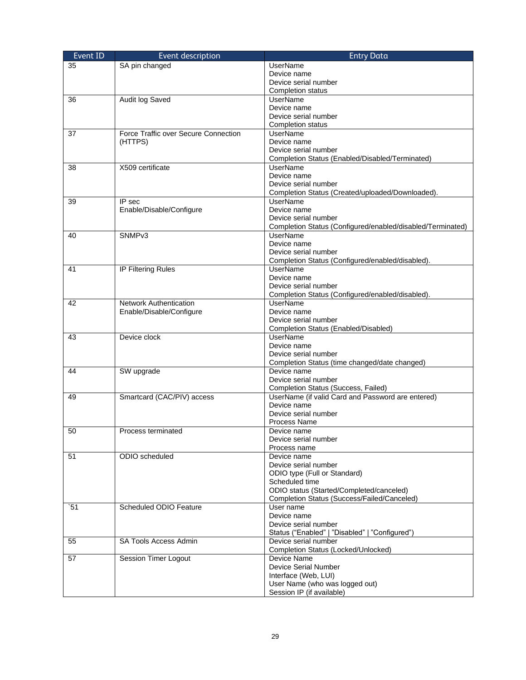| Event ID | Event description                    | <b>Entry Data</b>                                                  |
|----------|--------------------------------------|--------------------------------------------------------------------|
| 35       | SA pin changed                       | <b>UserName</b>                                                    |
|          |                                      | Device name                                                        |
|          |                                      | Device serial number                                               |
|          |                                      | <b>Completion status</b>                                           |
| 36       | Audit log Saved                      | <b>UserName</b>                                                    |
|          |                                      | Device name                                                        |
|          |                                      | Device serial number                                               |
|          |                                      | <b>Completion status</b>                                           |
| 37       | Force Traffic over Secure Connection | <b>UserName</b>                                                    |
|          | (HTTPS)                              | Device name                                                        |
|          |                                      | Device serial number                                               |
|          | X509 certificate                     | Completion Status (Enabled/Disabled/Terminated)<br><b>UserName</b> |
| 38       |                                      | Device name                                                        |
|          |                                      | Device serial number                                               |
|          |                                      | Completion Status (Created/uploaded/Downloaded).                   |
| 39       | IP sec                               | <b>UserName</b>                                                    |
|          | Enable/Disable/Configure             | Device name                                                        |
|          |                                      | Device serial number                                               |
|          |                                      | Completion Status (Configured/enabled/disabled/Terminated)         |
| 40       | SNMP <sub>v3</sub>                   | <b>UserName</b>                                                    |
|          |                                      | Device name                                                        |
|          |                                      | Device serial number                                               |
|          |                                      | Completion Status (Configured/enabled/disabled).                   |
| 41       | IP Filtering Rules                   | <b>UserName</b>                                                    |
|          |                                      | Device name                                                        |
|          |                                      | Device serial number                                               |
|          |                                      | Completion Status (Configured/enabled/disabled).                   |
| 42       | Network Authentication               | <b>UserName</b>                                                    |
|          | Enable/Disable/Configure             | Device name                                                        |
|          |                                      | Device serial number                                               |
|          |                                      | Completion Status (Enabled/Disabled)                               |
| 43       | Device clock                         | <b>UserName</b>                                                    |
|          |                                      | Device name                                                        |
|          |                                      | Device serial number                                               |
| 44       | SW upgrade                           | Completion Status (time changed/date changed)<br>Device name       |
|          |                                      | Device serial number                                               |
|          |                                      | Completion Status (Success, Failed)                                |
| 49       | Smartcard (CAC/PIV) access           | UserName (if valid Card and Password are entered)                  |
|          |                                      | Device name                                                        |
|          |                                      | Device serial number                                               |
|          |                                      | Process Name                                                       |
| 50       | Process terminated                   | Device name                                                        |
|          |                                      | Device serial number                                               |
|          |                                      | Process name                                                       |
| 51       | ODIO scheduled                       | Device name                                                        |
|          |                                      | Device serial number                                               |
|          |                                      | ODIO type (Full or Standard)                                       |
|          |                                      | Scheduled time                                                     |
|          |                                      | ODIO status (Started/Completed/canceled)                           |
|          |                                      | Completion Status (Success/Failed/Canceled)                        |
| 51       | Scheduled ODIO Feature               | User name                                                          |
|          |                                      | Device name                                                        |
|          |                                      | Device serial number                                               |
|          |                                      | Status ("Enabled"   "Disabled"   "Configured")                     |
| 55       | <b>SA Tools Access Admin</b>         | Device serial number                                               |
|          |                                      | Completion Status (Locked/Unlocked)<br>Device Name                 |
| 57       | Session Timer Logout                 | <b>Device Serial Number</b>                                        |
|          |                                      | Interface (Web, LUI)                                               |
|          |                                      | User Name (who was logged out)                                     |
|          |                                      | Session IP (if available)                                          |
|          |                                      |                                                                    |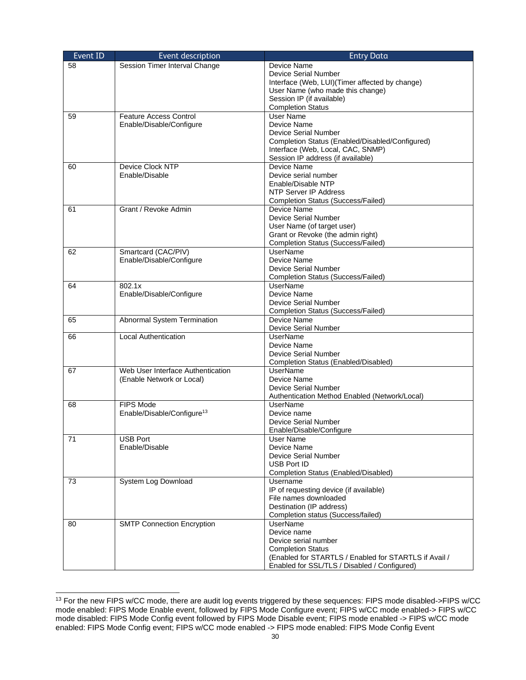| Event ID | Event description                      | <b>Entry Data</b>                                     |
|----------|----------------------------------------|-------------------------------------------------------|
| 58       | Session Timer Interval Change          | Device Name                                           |
|          |                                        | <b>Device Serial Number</b>                           |
|          |                                        | Interface (Web, LUI)(Timer affected by change)        |
|          |                                        | User Name (who made this change)                      |
|          |                                        | Session IP (if available)                             |
|          |                                        | <b>Completion Status</b>                              |
| 59       | <b>Feature Access Control</b>          | <b>User Name</b>                                      |
|          | Enable/Disable/Configure               | Device Name                                           |
|          |                                        | <b>Device Serial Number</b>                           |
|          |                                        | Completion Status (Enabled/Disabled/Configured)       |
|          |                                        | Interface (Web, Local, CAC, SNMP)                     |
|          |                                        | Session IP address (if available)                     |
| 60       | Device Clock NTP                       | <b>Device Name</b>                                    |
|          | Enable/Disable                         | Device serial number                                  |
|          |                                        | Enable/Disable NTP                                    |
|          |                                        | NTP Server IP Address                                 |
|          |                                        | Completion Status (Success/Failed)                    |
| 61       | Grant / Revoke Admin                   | <b>Device Name</b>                                    |
|          |                                        | <b>Device Serial Number</b>                           |
|          |                                        | User Name (of target user)                            |
|          |                                        | Grant or Revoke (the admin right)                     |
|          |                                        | Completion Status (Success/Failed)                    |
| 62       | Smartcard (CAC/PIV)                    | <b>UserName</b>                                       |
|          | Enable/Disable/Configure               | Device Name                                           |
|          |                                        | Device Serial Number                                  |
| 64       | 802.1x                                 | Completion Status (Success/Failed)<br><b>UserName</b> |
|          |                                        | Device Name                                           |
|          | Enable/Disable/Configure               | <b>Device Serial Number</b>                           |
|          |                                        | Completion Status (Success/Failed)                    |
| 65       | Abnormal System Termination            | Device Name                                           |
|          |                                        | <b>Device Serial Number</b>                           |
| 66       | <b>Local Authentication</b>            | <b>UserName</b>                                       |
|          |                                        | Device Name                                           |
|          |                                        | <b>Device Serial Number</b>                           |
|          |                                        | Completion Status (Enabled/Disabled)                  |
| 67       | Web User Interface Authentication      | <b>UserName</b>                                       |
|          | (Enable Network or Local)              | Device Name                                           |
|          |                                        | Device Serial Number                                  |
|          |                                        | Authentication Method Enabled (Network/Local)         |
| 68       | FIPS Mode                              | <b>UserName</b>                                       |
|          | Enable/Disable/Configure <sup>13</sup> | Device name                                           |
|          |                                        | <b>Device Serial Number</b>                           |
|          |                                        | Enable/Disable/Configure                              |
| 71       | <b>USB Port</b>                        | <b>User Name</b>                                      |
|          | Enable/Disable                         | Device Name                                           |
|          |                                        | Device Serial Number                                  |
|          |                                        | USB Port ID                                           |
|          |                                        | Completion Status (Enabled/Disabled)                  |
| 73       | System Log Download                    | Username                                              |
|          |                                        | IP of requesting device (if available)                |
|          |                                        | File names downloaded<br>Destination (IP address)     |
|          |                                        | Completion status (Success/failed)                    |
|          | <b>SMTP Connection Encryption</b>      | <b>UserName</b>                                       |
| 80       |                                        | Device name                                           |
|          |                                        | Device serial number                                  |
|          |                                        | <b>Completion Status</b>                              |
|          |                                        | (Enabled for STARTLS / Enabled for STARTLS if Avail / |
|          |                                        | Enabled for SSL/TLS / Disabled / Configured)          |
|          |                                        |                                                       |

<sup>&</sup>lt;sup>13</sup> For the new FIPS w/CC mode, there are audit log events triggered by these sequences: FIPS mode disabled->FIPS w/CC mode enabled: FIPS Mode Enable event, followed by FIPS Mode Configure event; FIPS w/CC mode enabled-> FIPS w/CC mode disabled: FIPS Mode Config event followed by FIPS Mode Disable event; FIPS mode enabled -> FIPS w/CC mode enabled: FIPS Mode Config event; FIPS w/CC mode enabled -> FIPS mode enabled: FIPS Mode Config Event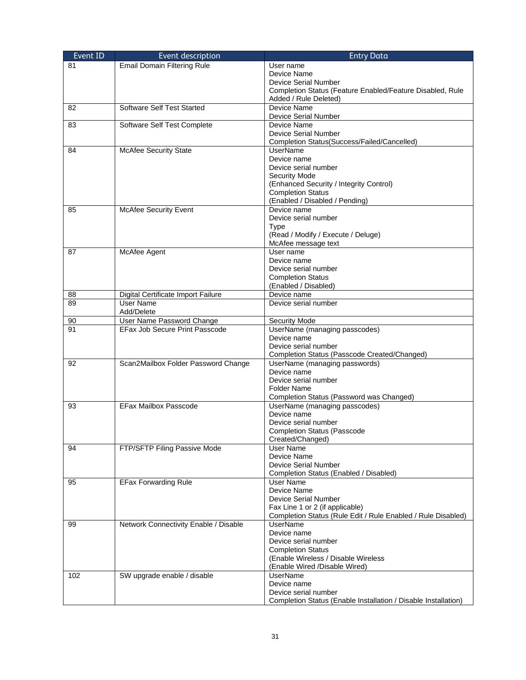| Event ID | Event description                       | <b>Entry Data</b>                                              |
|----------|-----------------------------------------|----------------------------------------------------------------|
| 81       | <b>Email Domain Filtering Rule</b>      | User name                                                      |
|          |                                         | Device Name                                                    |
|          |                                         | Device Serial Number                                           |
|          |                                         | Completion Status (Feature Enabled/Feature Disabled, Rule      |
|          |                                         | Added / Rule Deleted)                                          |
| 82       | Software Self Test Started              | Device Name                                                    |
|          |                                         | Device Serial Number                                           |
| 83       | Software Self Test Complete             | Device Name                                                    |
|          |                                         | Device Serial Number                                           |
|          |                                         | Completion Status(Success/Failed/Cancelled)                    |
| 84       | McAfee Security State                   | <b>UserName</b>                                                |
|          |                                         | Device name                                                    |
|          |                                         | Device serial number                                           |
|          |                                         | <b>Security Mode</b>                                           |
|          |                                         | (Enhanced Security / Integrity Control)                        |
|          |                                         | <b>Completion Status</b>                                       |
|          |                                         | (Enabled / Disabled / Pending)                                 |
| 85       | <b>McAfee Security Event</b>            | Device name                                                    |
|          |                                         | Device serial number                                           |
|          |                                         | <b>Type</b>                                                    |
|          |                                         | (Read / Modify / Execute / Deluge)                             |
|          |                                         | McAfee message text                                            |
| 87       | McAfee Agent                            | User name                                                      |
|          |                                         | Device name                                                    |
|          |                                         | Device serial number                                           |
|          |                                         | <b>Completion Status</b>                                       |
|          | Digital Certificate Import Failure      | (Enabled / Disabled)                                           |
| 88<br>89 | <b>User Name</b>                        | Device name<br>Device serial number                            |
|          |                                         |                                                                |
| 90       | Add/Delete<br>User Name Password Change | Security Mode                                                  |
| 91       | EFax Job Secure Print Passcode          | UserName (managing passcodes)                                  |
|          |                                         | Device name                                                    |
|          |                                         | Device serial number                                           |
|          |                                         | Completion Status (Passcode Created/Changed)                   |
| 92       | Scan2Mailbox Folder Password Change     | UserName (managing passwords)                                  |
|          |                                         | Device name                                                    |
|          |                                         | Device serial number                                           |
|          |                                         | <b>Folder Name</b>                                             |
|          |                                         | Completion Status (Password was Changed)                       |
| 93       | <b>EFax Mailbox Passcode</b>            | UserName (managing passcodes)                                  |
|          |                                         | Device name                                                    |
|          |                                         | Device serial number                                           |
|          |                                         | <b>Completion Status (Passcode</b>                             |
|          |                                         | Created/Changed)                                               |
| 94       | FTP/SFTP Filing Passive Mode            | User Name                                                      |
|          |                                         | Device Name                                                    |
|          |                                         | Device Serial Number                                           |
|          |                                         | Completion Status (Enabled / Disabled)                         |
| 95       | <b>EFax Forwarding Rule</b>             | User Name                                                      |
|          |                                         | Device Name                                                    |
|          |                                         | Device Serial Number                                           |
|          |                                         | Fax Line 1 or 2 (if applicable)                                |
|          |                                         | Completion Status (Rule Edit / Rule Enabled / Rule Disabled)   |
| 99       | Network Connectivity Enable / Disable   | <b>UserName</b>                                                |
|          |                                         | Device name                                                    |
|          |                                         | Device serial number                                           |
|          |                                         | <b>Completion Status</b>                                       |
|          |                                         | (Enable Wireless / Disable Wireless                            |
|          |                                         | (Enable Wired /Disable Wired)                                  |
| 102      | SW upgrade enable / disable             | <b>UserName</b><br>Device name                                 |
|          |                                         | Device serial number                                           |
|          |                                         |                                                                |
|          |                                         | Completion Status (Enable Installation / Disable Installation) |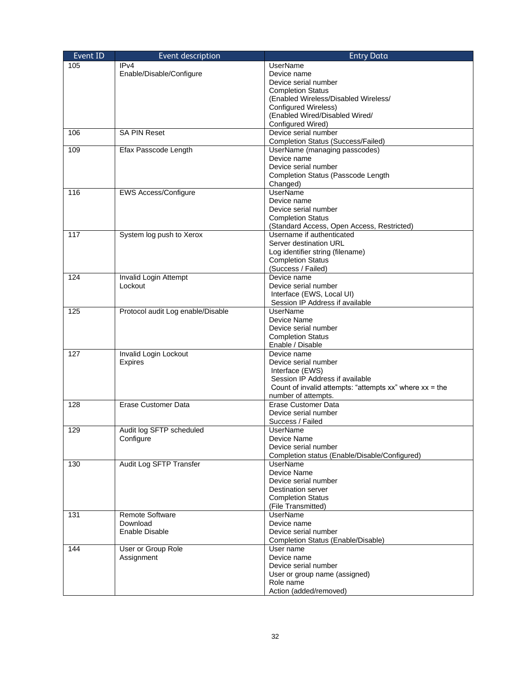| Event ID | Event description                 | <b>Entry Data</b>                                            |
|----------|-----------------------------------|--------------------------------------------------------------|
| 105      | IP <sub>v4</sub>                  | UserName                                                     |
|          | Enable/Disable/Configure          | Device name                                                  |
|          |                                   | Device serial number                                         |
|          |                                   | <b>Completion Status</b>                                     |
|          |                                   | (Enabled Wireless/Disabled Wireless/                         |
|          |                                   | Configured Wireless)                                         |
|          |                                   | (Enabled Wired/Disabled Wired/                               |
|          |                                   | Configured Wired)                                            |
| 106      | <b>SA PIN Reset</b>               | Device serial number                                         |
|          |                                   | <b>Completion Status (Success/Failed)</b>                    |
| 109      | Efax Passcode Length              | UserName (managing passcodes)<br>Device name                 |
|          |                                   | Device serial number                                         |
|          |                                   | Completion Status (Passcode Length                           |
|          |                                   | Changed)                                                     |
| 116      | EWS Access/Configure              | <b>UserName</b>                                              |
|          |                                   | Device name                                                  |
|          |                                   | Device serial number                                         |
|          |                                   | <b>Completion Status</b>                                     |
|          |                                   | (Standard Access, Open Access, Restricted)                   |
| 117      | System log push to Xerox          | Username if authenticated                                    |
|          |                                   | Server destination URL                                       |
|          |                                   | Log identifier string (filename)                             |
|          |                                   | <b>Completion Status</b>                                     |
|          |                                   | (Success / Failed)                                           |
| 124      | Invalid Login Attempt             | Device name                                                  |
|          | Lockout                           | Device serial number                                         |
|          |                                   | Interface (EWS, Local UI)                                    |
|          |                                   | Session IP Address if available<br>UserName                  |
| 125      | Protocol audit Log enable/Disable | Device Name                                                  |
|          |                                   | Device serial number                                         |
|          |                                   | <b>Completion Status</b>                                     |
|          |                                   | Enable / Disable                                             |
| 127      | Invalid Login Lockout             | Device name                                                  |
|          | <b>Expires</b>                    | Device serial number                                         |
|          |                                   | Interface (EWS)                                              |
|          |                                   | Session IP Address if available                              |
|          |                                   | Count of invalid attempts: "attempts $xx$ " where $xx =$ the |
|          |                                   | number of attempts.                                          |
| 128      | Erase Customer Data               | <b>Erase Customer Data</b>                                   |
|          |                                   | Device serial number                                         |
|          |                                   | Success / Failed                                             |
| 129      | Audit log SFTP scheduled          | <b>UserName</b>                                              |
|          | Configure                         | Device Name<br>Device serial number                          |
|          |                                   | Completion status (Enable/Disable/Configured)                |
| 130      | Audit Log SFTP Transfer           | <b>UserName</b>                                              |
|          |                                   | Device Name                                                  |
|          |                                   | Device serial number                                         |
|          |                                   | Destination server                                           |
|          |                                   | <b>Completion Status</b>                                     |
|          |                                   | (File Transmitted)                                           |
| 131      | Remote Software                   | UserName                                                     |
|          | Download                          | Device name                                                  |
|          | Enable Disable                    | Device serial number                                         |
|          |                                   | Completion Status (Enable/Disable)                           |
| 144      | User or Group Role                | User name                                                    |
|          | Assignment                        | Device name                                                  |
|          |                                   | Device serial number                                         |
|          |                                   | User or group name (assigned)                                |
|          |                                   | Role name                                                    |
|          |                                   | Action (added/removed)                                       |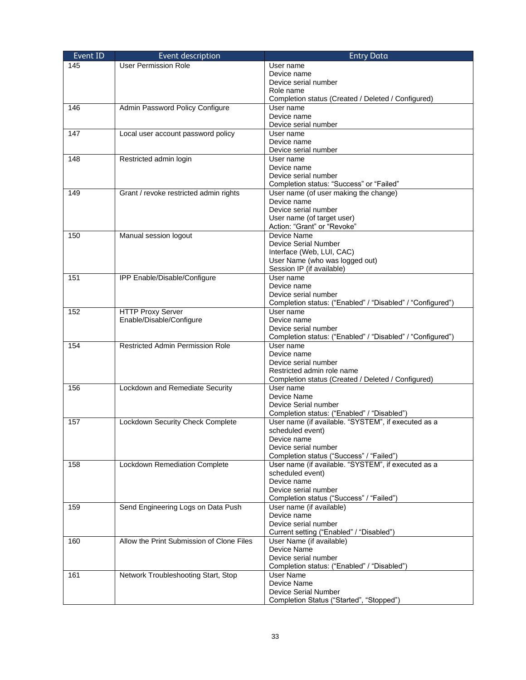| Event ID | Event description                         | <b>Entry Data</b>                                                       |
|----------|-------------------------------------------|-------------------------------------------------------------------------|
| 145      | <b>User Permission Role</b>               | User name                                                               |
|          |                                           | Device name                                                             |
|          |                                           | Device serial number                                                    |
|          |                                           | Role name                                                               |
|          |                                           | Completion status (Created / Deleted / Configured)                      |
| 146      | Admin Password Policy Configure           | User name                                                               |
|          |                                           | Device name                                                             |
|          |                                           | Device serial number                                                    |
| 147      | Local user account password policy        | User name<br>Device name                                                |
|          |                                           | Device serial number                                                    |
| 148      | Restricted admin login                    | User name                                                               |
|          |                                           | Device name                                                             |
|          |                                           | Device serial number                                                    |
|          |                                           | Completion status: "Success" or "Failed"                                |
| 149      | Grant / revoke restricted admin rights    | User name (of user making the change)                                   |
|          |                                           | Device name                                                             |
|          |                                           | Device serial number                                                    |
|          |                                           | User name (of target user)                                              |
|          |                                           | Action: "Grant" or "Revoke"                                             |
| 150      | Manual session logout                     | Device Name                                                             |
|          |                                           | Device Serial Number                                                    |
|          |                                           | Interface (Web, LUI, CAC)<br>User Name (who was logged out)             |
|          |                                           | Session IP (if available)                                               |
| 151      | IPP Enable/Disable/Configure              | User name                                                               |
|          |                                           | Device name                                                             |
|          |                                           | Device serial number                                                    |
|          |                                           | Completion status: ("Enabled" / "Disabled" / "Configured")              |
| 152      | <b>HTTP Proxy Server</b>                  | User name                                                               |
|          | Enable/Disable/Configure                  | Device name                                                             |
|          |                                           | Device serial number                                                    |
|          |                                           | Completion status: ("Enabled" / "Disabled" / "Configured")              |
| 154      | <b>Restricted Admin Permission Role</b>   | User name                                                               |
|          |                                           | Device name<br>Device serial number                                     |
|          |                                           | Restricted admin role name                                              |
|          |                                           | Completion status (Created / Deleted / Configured)                      |
| 156      | Lockdown and Remediate Security           | User name                                                               |
|          |                                           | Device Name                                                             |
|          |                                           | Device Serial number                                                    |
|          |                                           | Completion status: ("Enabled" / "Disabled")                             |
| 157      | Lockdown Security Check Complete          | User name (if available. "SYSTEM", if executed as a                     |
|          |                                           | scheduled event)                                                        |
|          |                                           | Device name                                                             |
|          |                                           | Device serial number                                                    |
|          |                                           | Completion status ("Success" / "Failed")                                |
| 158      | Lockdown Remediation Complete             | User name (if available. "SYSTEM", if executed as a<br>scheduled event) |
|          |                                           | Device name                                                             |
|          |                                           | Device serial number                                                    |
|          |                                           | Completion status ("Success" / "Failed")                                |
| 159      | Send Engineering Logs on Data Push        | User name (if available)                                                |
|          |                                           | Device name                                                             |
|          |                                           | Device serial number                                                    |
|          |                                           | Current setting ("Enabled" / "Disabled")                                |
| 160      | Allow the Print Submission of Clone Files | User Name (if available)                                                |
|          |                                           | Device Name                                                             |
|          |                                           | Device serial number                                                    |
|          |                                           | Completion status: ("Enabled" / "Disabled")                             |
| 161      | Network Troubleshooting Start, Stop       | User Name                                                               |
|          |                                           | Device Name<br>Device Serial Number                                     |
|          |                                           | Completion Status ("Started", "Stopped")                                |
|          |                                           |                                                                         |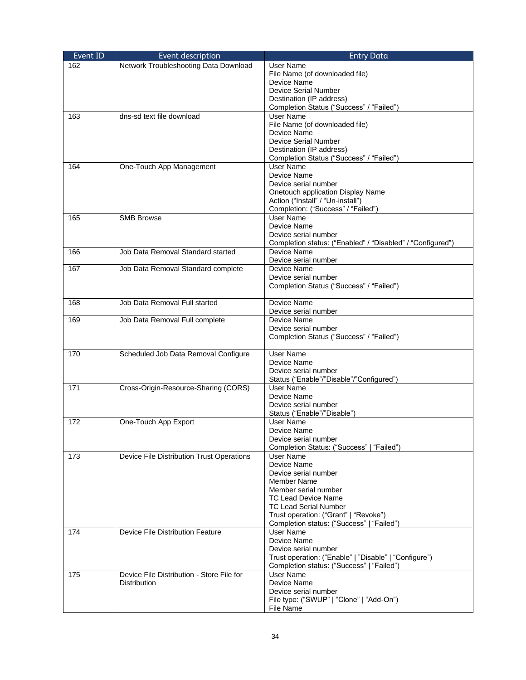| Event ID | Event description                         | <b>Entry Data</b>                                                                  |
|----------|-------------------------------------------|------------------------------------------------------------------------------------|
| 162      | Network Troubleshooting Data Download     | User Name                                                                          |
|          |                                           | File Name (of downloaded file)                                                     |
|          |                                           | Device Name                                                                        |
|          |                                           | <b>Device Serial Number</b>                                                        |
|          |                                           | Destination (IP address)                                                           |
|          |                                           | Completion Status ("Success" / "Failed")                                           |
| 163      | dns-sd text file download                 | <b>User Name</b>                                                                   |
|          |                                           | File Name (of downloaded file)                                                     |
|          |                                           | Device Name                                                                        |
|          |                                           | <b>Device Serial Number</b>                                                        |
|          |                                           | Destination (IP address)                                                           |
| 164      | One-Touch App Management                  | Completion Status ("Success" / "Failed")<br>User Name                              |
|          |                                           | Device Name                                                                        |
|          |                                           | Device serial number                                                               |
|          |                                           | Onetouch application Display Name                                                  |
|          |                                           | Action ("Install" / "Un-install")                                                  |
|          |                                           | Completion: ("Success" / "Failed")                                                 |
| 165      | <b>SMB Browse</b>                         | <b>User Name</b>                                                                   |
|          |                                           | Device Name                                                                        |
|          |                                           | Device serial number                                                               |
|          |                                           | Completion status: ("Enabled" / "Disabled" / "Configured")                         |
| 166      | Job Data Removal Standard started         | Device Name                                                                        |
|          |                                           | Device serial number                                                               |
| 167      | Job Data Removal Standard complete        | Device Name                                                                        |
|          |                                           | Device serial number                                                               |
|          |                                           | Completion Status ("Success" / "Failed")                                           |
| 168      | Job Data Removal Full started             | Device Name                                                                        |
|          |                                           | Device serial number                                                               |
| 169      | Job Data Removal Full complete            | Device Name                                                                        |
|          |                                           | Device serial number                                                               |
|          |                                           | Completion Status ("Success" / "Failed")                                           |
|          |                                           |                                                                                    |
| 170      | Scheduled Job Data Removal Configure      | <b>User Name</b>                                                                   |
|          |                                           | Device Name                                                                        |
|          |                                           | Device serial number                                                               |
|          |                                           | Status ("Enable"/"Disable"/"Configured")<br>User Name                              |
| 171      | Cross-Origin-Resource-Sharing (CORS)      | Device Name                                                                        |
|          |                                           | Device serial number                                                               |
|          |                                           | Status ("Enable"/"Disable")                                                        |
| 172      | One-Touch App Export                      | <b>User Name</b>                                                                   |
|          |                                           | Device Name                                                                        |
|          |                                           | Device serial number                                                               |
|          |                                           | Completion Status: ("Success"   "Failed")                                          |
| 173      | Device File Distribution Trust Operations | User Name                                                                          |
|          |                                           | Device Name                                                                        |
|          |                                           | Device serial number                                                               |
|          |                                           | Member Name                                                                        |
|          |                                           | Member serial number                                                               |
|          |                                           | <b>TC Lead Device Name</b>                                                         |
|          |                                           | <b>TC Lead Serial Number</b>                                                       |
|          |                                           | Trust operation: ("Grant"   "Revoke")<br>Completion status: ("Success"   "Failed") |
| 174      | Device File Distribution Feature          | User Name                                                                          |
|          |                                           | Device Name                                                                        |
|          |                                           | Device serial number                                                               |
|          |                                           | Trust operation: ("Enable"   "Disable"   "Configure")                              |
|          |                                           | Completion status: ("Success"   "Failed")                                          |
| 175      | Device File Distribution - Store File for | <b>User Name</b>                                                                   |
|          | <b>Distribution</b>                       | Device Name                                                                        |
|          |                                           | Device serial number                                                               |
|          |                                           | File type: ("SWUP"   "Clone"   "Add-On")                                           |
|          |                                           | File Name                                                                          |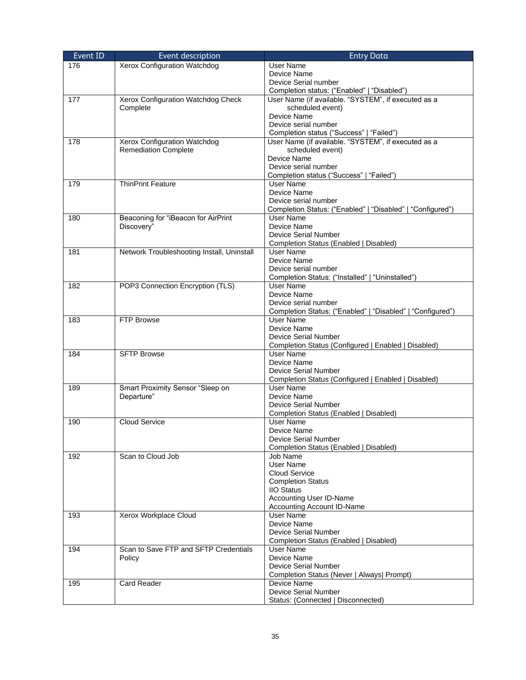| Event ID | Event description                          | <b>Entry Data</b>                                                    |
|----------|--------------------------------------------|----------------------------------------------------------------------|
| 176      | Xerox Configuration Watchdog               | User Name                                                            |
|          |                                            | Device Name                                                          |
|          |                                            | Device Serial number                                                 |
|          |                                            | Completion status: ("Enabled"   "Disabled")                          |
| 177      | Xerox Configuration Watchdog Check         | User Name (if available. "SYSTEM", if executed as a                  |
|          | Complete                                   | scheduled event)                                                     |
|          |                                            | Device Name                                                          |
|          |                                            | Device serial number                                                 |
|          |                                            | Completion status ("Success"   "Failed")                             |
| 178      | Xerox Configuration Watchdog               | User Name (if available. "SYSTEM", if executed as a                  |
|          | <b>Remediation Complete</b>                | scheduled event)<br>Device Name                                      |
|          |                                            | Device serial number                                                 |
|          |                                            | Completion status ("Success"   "Failed")                             |
| 179      | <b>ThinPrint Feature</b>                   | <b>User Name</b>                                                     |
|          |                                            | Device Name                                                          |
|          |                                            | Device serial number                                                 |
|          |                                            | Completion Status: ("Enabled"   "Disabled"   "Configured")           |
| 180      | Beaconing for "iBeacon for AirPrint        | <b>User Name</b>                                                     |
|          | Discovery"                                 | Device Name                                                          |
|          |                                            | Device Serial Number                                                 |
|          |                                            | Completion Status (Enabled   Disabled)                               |
| 181      | Network Troubleshooting Install, Uninstall | User Name                                                            |
|          |                                            | Device Name                                                          |
|          |                                            | Device serial number                                                 |
| 182      | POP3 Connection Encryption (TLS)           | Completion Status: ("Installed"   "Uninstalled")<br><b>User Name</b> |
|          |                                            | Device Name                                                          |
|          |                                            | Device serial number                                                 |
|          |                                            | Completion Status: ("Enabled"   "Disabled"   "Configured")           |
| 183      | <b>FTP Browse</b>                          | <b>User Name</b>                                                     |
|          |                                            | Device Name                                                          |
|          |                                            | <b>Device Serial Number</b>                                          |
|          |                                            | Completion Status (Configured   Enabled   Disabled)                  |
| 184      | <b>SFTP Browse</b>                         | <b>User Name</b>                                                     |
|          |                                            | Device Name                                                          |
|          |                                            | <b>Device Serial Number</b>                                          |
| 189      | Smart Proximity Sensor "Sleep on           | Completion Status (Configured   Enabled   Disabled)<br>User Name     |
|          | Departure"                                 | Device Name                                                          |
|          |                                            | <b>Device Serial Number</b>                                          |
|          |                                            | Completion Status (Enabled   Disabled)                               |
| 190      | Cloud Service                              | <b>User Name</b>                                                     |
|          |                                            | Device Name                                                          |
|          |                                            | Device Serial Number                                                 |
|          |                                            | Completion Status (Enabled   Disabled)                               |
| 192      | Scan to Cloud Job                          | Job Name                                                             |
|          |                                            | User Name                                                            |
|          |                                            | Cloud Service                                                        |
|          |                                            | <b>Completion Status</b><br><b>IIO Status</b>                        |
|          |                                            | Accounting User ID-Name                                              |
|          |                                            | Accounting Account ID-Name                                           |
| 193      | Xerox Workplace Cloud                      | User Name                                                            |
|          |                                            | Device Name                                                          |
|          |                                            | Device Serial Number                                                 |
|          |                                            | Completion Status (Enabled   Disabled)                               |
| 194      | Scan to Save FTP and SFTP Credentials      | User Name                                                            |
|          | Policy                                     | Device Name                                                          |
|          |                                            | <b>Device Serial Number</b>                                          |
|          |                                            | Completion Status (Never   Always   Prompt)                          |
| 195      | <b>Card Reader</b>                         | Device Name                                                          |
|          |                                            | <b>Device Serial Number</b>                                          |
|          |                                            | Status: (Connected   Disconnected)                                   |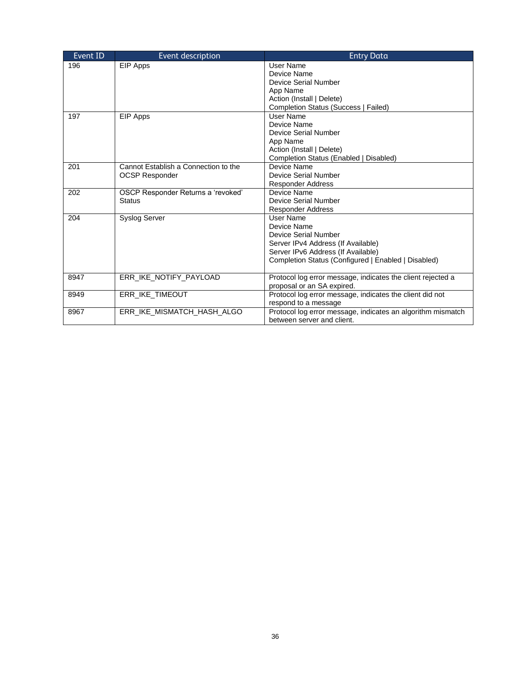| Event ID | Event description                    | <b>Entry Data</b>                                                                         |
|----------|--------------------------------------|-------------------------------------------------------------------------------------------|
| 196      | EIP Apps                             | User Name                                                                                 |
|          |                                      | Device Name                                                                               |
|          |                                      | Device Serial Number                                                                      |
|          |                                      | App Name                                                                                  |
|          |                                      | Action (Install   Delete)                                                                 |
|          |                                      | Completion Status (Success   Failed)                                                      |
| 197      | EIP Apps                             | User Name                                                                                 |
|          |                                      | Device Name                                                                               |
|          |                                      | <b>Device Serial Number</b>                                                               |
|          |                                      | App Name                                                                                  |
|          |                                      | Action (Install   Delete)                                                                 |
|          |                                      | Completion Status (Enabled   Disabled)                                                    |
| 201      | Cannot Establish a Connection to the | Device Name                                                                               |
|          | <b>OCSP Responder</b>                | Device Serial Number                                                                      |
|          |                                      | <b>Responder Address</b>                                                                  |
| 202      | OSCP Responder Returns a 'revoked'   | Device Name                                                                               |
|          | <b>Status</b>                        | Device Serial Number                                                                      |
|          |                                      | <b>Responder Address</b>                                                                  |
| 204      | <b>Syslog Server</b>                 | User Name                                                                                 |
|          |                                      | Device Name                                                                               |
|          |                                      | Device Serial Number                                                                      |
|          |                                      | Server IPv4 Address (If Available)                                                        |
|          |                                      | Server IPv6 Address (If Available)                                                        |
|          |                                      | Completion Status (Configured   Enabled   Disabled)                                       |
| 8947     | ERR IKE NOTIFY PAYLOAD               | Protocol log error message, indicates the client rejected a                               |
|          |                                      | proposal or an SA expired.                                                                |
| 8949     | ERR IKE TIMEOUT                      | Protocol log error message, indicates the client did not                                  |
|          |                                      | respond to a message                                                                      |
| 8967     | ERR IKE MISMATCH HASH ALGO           | Protocol log error message, indicates an algorithm mismatch<br>between server and client. |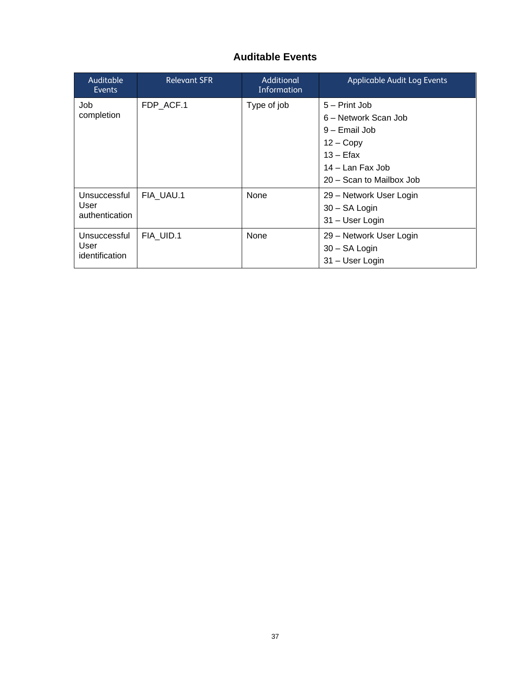### **Auditable Events**

| Auditable<br><b>Events</b>             | <b>Relevant SFR</b> | Additional<br>Information | <b>Applicable Audit Log Events</b>                                                                                                   |
|----------------------------------------|---------------------|---------------------------|--------------------------------------------------------------------------------------------------------------------------------------|
| Job<br>completion                      | FDP ACF.1           | Type of job               | 5 – Print Job<br>6 – Network Scan Job<br>9 – Email Job<br>$12 - Copy$<br>$13 -$ Efax<br>14 – Lan Fax Job<br>20 – Scan to Mailbox Job |
| Unsuccessful<br>User<br>authentication | FIA UAU.1           | None                      | 29 – Network User Login<br>30 - SA Login<br>31 – User Login                                                                          |
| Unsuccessful<br>User<br>identification | FIA UID.1           | None                      | 29 – Network User Login<br>30 - SA Login<br>31 - User Login                                                                          |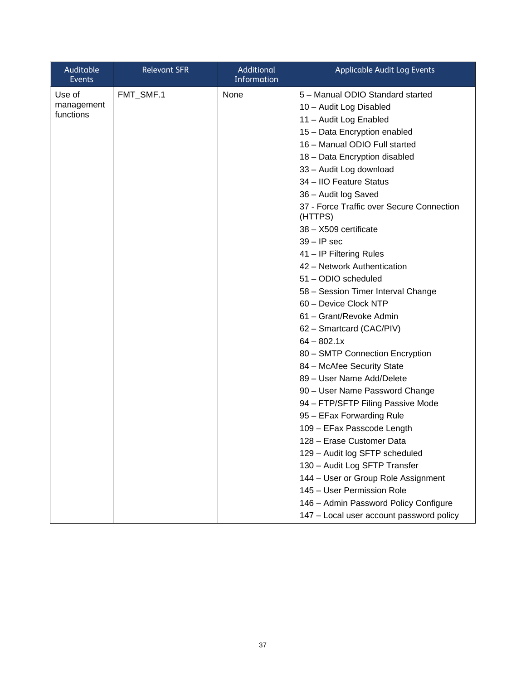| Use of<br>FMT_SMF.1<br>None<br>5 - Manual ODIO Standard started<br>management<br>10 - Audit Log Disabled<br>functions<br>11 - Audit Log Enabled<br>15 - Data Encryption enabled<br>16 - Manual ODIO Full started<br>18 - Data Encryption disabled<br>33 - Audit Log download<br>34 - IIO Feature Status<br>36 - Audit log Saved<br>37 - Force Traffic over Secure Connection<br>(HTTPS)<br>38 - X509 certificate<br>$39 - IP$ sec<br>41 - IP Filtering Rules<br>42 - Network Authentication<br>51 - ODIO scheduled<br>58 - Session Timer Interval Change<br>60 - Device Clock NTP<br>61 - Grant/Revoke Admin<br>62 - Smartcard (CAC/PIV)<br>$64 - 802.1x$<br>80 - SMTP Connection Encryption<br>84 - McAfee Security State<br>89 - User Name Add/Delete<br>90 - User Name Password Change<br>94 - FTP/SFTP Filing Passive Mode<br>95 - EFax Forwarding Rule<br>109 - EFax Passcode Length | Auditable<br>Events | <b>Relevant SFR</b> | Additional<br>Information | <b>Applicable Audit Log Events</b> |
|-------------------------------------------------------------------------------------------------------------------------------------------------------------------------------------------------------------------------------------------------------------------------------------------------------------------------------------------------------------------------------------------------------------------------------------------------------------------------------------------------------------------------------------------------------------------------------------------------------------------------------------------------------------------------------------------------------------------------------------------------------------------------------------------------------------------------------------------------------------------------------------------|---------------------|---------------------|---------------------------|------------------------------------|
| 129 - Audit log SFTP scheduled<br>130 - Audit Log SFTP Transfer<br>144 - User or Group Role Assignment                                                                                                                                                                                                                                                                                                                                                                                                                                                                                                                                                                                                                                                                                                                                                                                    |                     |                     |                           | 128 - Erase Customer Data          |
| 145 - User Permission Role<br>146 - Admin Password Policy Configure<br>147 - Local user account password policy                                                                                                                                                                                                                                                                                                                                                                                                                                                                                                                                                                                                                                                                                                                                                                           |                     |                     |                           |                                    |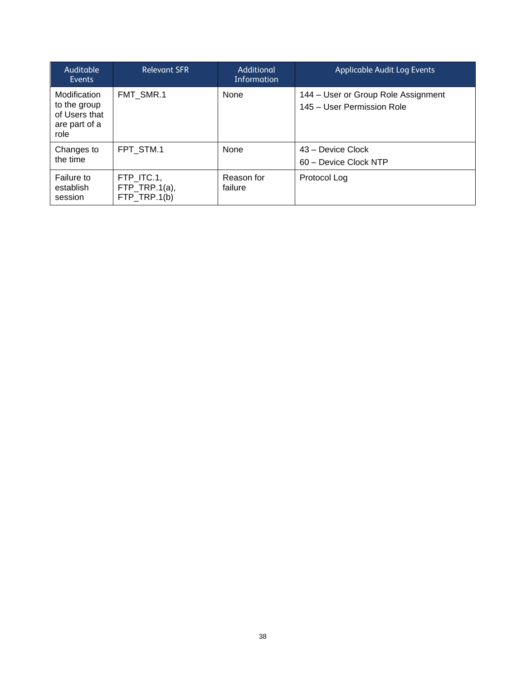| Auditable<br>Events                                                    | <b>Relevant SFR</b>                         | Additional<br>Information | Applicable Audit Log Events                                       |
|------------------------------------------------------------------------|---------------------------------------------|---------------------------|-------------------------------------------------------------------|
| Modification<br>to the group<br>of Users that<br>are part of a<br>role | FMT SMR.1                                   | None                      | 144 – User or Group Role Assignment<br>145 – User Permission Role |
| Changes to<br>the time                                                 | FPT STM.1                                   | None                      | 43 – Device Clock<br>60 – Device Clock NTP                        |
| Failure to<br>establish<br>session                                     | FTP ITC.1,<br>FTP_TRP.1(a),<br>FTP TRP.1(b) | Reason for<br>failure     | Protocol Log                                                      |